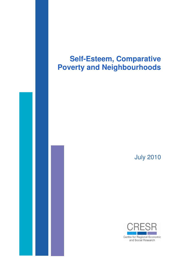# **Poverty and Neighbourhoods Self-Esteem, Comparative**

July 2010

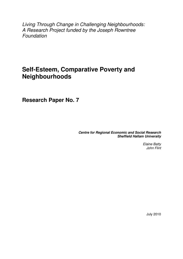Living Through Change in Challenging Neighbourhoods: A Research Project funded by the Joseph Rowntree Foundation

# **Self-Esteem, Comparative Poverty and Neighbourhoods**

**Research Paper No. 7** 

**Centre for Regional Economic and Social Research Sheffield Hallam University**

> Elaine Batty John Flint

> > July 2010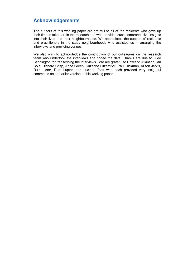### **Acknowledgements**

The authors of this working paper are grateful to all of the residents who gave up their time to take part in the research and who provided such comprehensive insights into their lives and their neighbourhoods. We appreciated the support of residents and practitioners in the study neighbourhoods who assisted us in arranging the interviews and providing venues.

We also wish to acknowledge the contribution of our colleagues on the research team who undertook the interviews and coded the data. Thanks are due to Jude Bennington for transcribing the interviews. We are grateful to Rowland Atkinson, Ian Cole, Richard Crisp, Anne Green, Suzanne Fitzpatrick, Paul Hickman, Alison Jarvis, Ruth Lister, Ruth Lupton and Lucinda Platt who each provided very insightful comments on an earlier version of this working paper.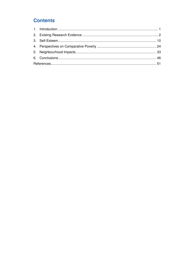# **Contents**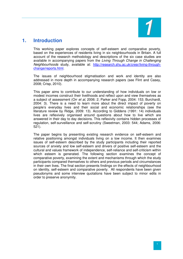

### **1. Introduction**

This working paper explores concepts of self-esteem and comparative poverty, based on the experiences of residents living in six neighbourhoods in Britain. A full account of the research methodology and descriptions of the six case studies are available in accompanying papers from the Living Through Change in Challenging Neighbourhoods study, available at: http://research.shu.ac.uk/cresr/living-throughchange/reports.html.

The issues of neighbourhood stigmatisation and work and identity are also addressed in more depth in accompanying research papers (see Flint and Casey, 2008; Crisp, 2010).

This paper aims to contribute to our understanding of how individuals on low or modest incomes construct their livelihoods and reflect upon and view themselves as a subject of assessment (Orr et al, 2006: 2; Parker and Fopp, 2004: 153; Burchardt, 2004: 3). There is a need to learn more about the direct impact of poverty on people's everyday lives and their social and economic relationships (see the literature review by Ridge, 2009: 13). According to Giddens (1991: 14) individuals lives are reflexively organised around questions about how to live which are answered in their day to day decisions. This reflexivity contains hidden processes of regulation, self-surveillance and self-scrutiny (Sweetman, 2003: 544; Adams, 2006: 521).

The paper begins by presenting existing research evidence on self-esteem and relative positioning amongst individuals living on a low income. It then examines issues of self-esteem described by the study participants including their reported sources of anxiety and low self-esteem and drivers of positive self-esteem and the cultural and values framework of independence, self-reliance and self-criticism within which esteem is generated. The following section examines the concept of comparative poverty, examining the extent and mechanisms through which the study participants compared themselves to others and previous periods and circumstances in their own lives. The final section presents findings on the effects of neighbourhood on identity, self-esteem and comparative poverty. All respondents have been given pseudonyms and some interview quotations have been subject to minor edits in order to preserve anonymity.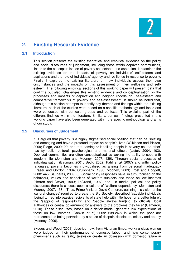

# **2. Existing Research Evidence**

#### **2.1 Introduction**

This section presents the existing theoretical and empirical evidence on the policy and social discourses of judgement, including those within deprived communities, linked to the conceptualisation of poverty self esteem and aspiration. It examines the existing evidence on the impacts of poverty on individuals' self-esteem and aspirations and the role of individuals' agency and resilience in response to poverty. Finally it explores the existing literature on how individuals assess their own circumstances and the impacts of this assessment on their wellbeing and selfesteem. The following empirical sections of this working paper will present data that confirms but also challenges this existing evidence and conceptualisation on the processes and impacts of deprivation and neighbourhoods on self-esteem and comparative frameworks of poverty and self-assessment. It should be noted that, although this section attempts to identify key themes and findings within the existing literature, each of the studies were based on a specific methodology and focus and were conducted with particular groups and contexts. This explains part of the different findings within the literature. Similarly, our own findings presented in this working paper have also been generated within the specific methodology and aims of our study.

#### **2.2 Discourses of Judgement**

It is argued that poverty is a highly stigmatised social position that can be isolating and damaging and have a profound impact on people's lives (Wilkinson and Pickett, 2009; Ridge, 2009: 20) and that naming or labelling people in poverty as 'the other' has symbolic, cultural, psychological and material effects (Lister, 2004: 103). Deprived communities are often conceptualised as lacking the ability to cope with 'modern' life (Johnston and Mooney, 2007: 139). Through social processes of individualisation (Bauman, 2001; Beck, 2002, Pahl et al, 2007) and within policy rationales, poverty becomes individualised as arising from personal inadequacy (Fraser and Gordon; 1994; Cruikshank, 1996; Mooney, 2009; Frost and Hoggett, 2008: 445; Saugeres, 2009: 6). Social policy responses have, in turn, focused on the behaviour, values and capacities of welfare subjects and those on low incomes (Herron and Dwyer, 1999; LeGrand, 1997) and in media, political and policy discourses there is a focus upon a culture of 'welfare dependency' (Johnston and Mooney, 2007: 138). Thus, Prime Minister David Cameron, outlining his vision of the 'cultural changes' required to create the Big Society, described "capable individuals [being] turned into passive recipients of state help with little hope for a better future", the "sapping of responsibility" and "people always turn[ing] to officials, local authorities or central government for answers to the problems they face" (Cameron, 2010). These discourses, based on a deficit model, generate low expectations of those on low incomes (Canvin et al, 2009: 238-242) in which the poor are represented as being pervaded by a sense of despair, desolation, misery and apathy (Mooney, 2009).

Skeggs and Wood (2008) describe how, from Victorian times, working class women were judged on their performance of domestic labour and how contemporary phenomena such as reality television create an obsession with domestic failure in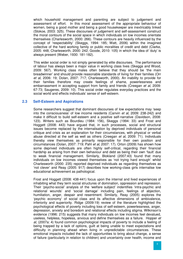which household management and parenting are subject to judgement and assessment of effort. In this moral assessment of the appropriate behaviour of women, being a good mother and being a good housekeeper are inextricably linked (Stokoe, 2003: 325). These discourses of judgement and self-assessment construct the moral contours of the social space in which individuals on low incomes orientate themselves (Charlesworth, 2000: 266). These contours are heavily influenced by the concept of 'respectability' (Skeggs, 1994: 185; Watt, 2006) within the imagined collective of the hard working family or public moralities of credit and debt (Clarke, 2005: 448; Charlesworth, 2000: 242; Goode, 2010: 105) in which the idea of 'duty' is always present (Weber, 1930: 181-182).

This wider social order is not simply generated by elite discourses. The performance of labour has always been a major value in working class lives (Skeggs and Wood, 2009: 567). Working class males often believe that they should be 'the main breadwinner' and should provide reasonable standards of living for their families (Orr et al, 2006: 19; Dolan, 2007: 717; Charlesworth, 2000). An inability to provide for their families therefore may create feelings of shame, powerlessness and embarrassment in accepting support from family and friends (Creegan et al, 2009: 67-73; Saugeres, 2009: 10). This social order regulates everyday practices and the social world and effects individuals' sense of self-esteem.

#### **2.3 Self-Esteem and Aspirations**

Some researchers suggest that dominant discourses of low expectations may 'seep into the consciousness' of low income residents (Canvin et al, 2009: 238-242) and make it difficult to build self-esteem and a positive self-narrative (Davidson, 2008: 123). Writers such as Bourdieu (1984: 156), Skeggs (1994: 33) and Frost and Hoggett (2008: 443) have argued that, in such processes, social and structural issues become replaced by the internalisation by deprived individuals of personal critique and crisis as an explanation for their circumstances, with physical or verbal abuse directed at the self as well as others (Creegan et al. 2009: 71). Individuals thereby view themselves as primarily responsible for their own position and circumstances (Dolan, 2007: 719; Pahl et al, 2007: 17). Orton (2009) has shown how some deprived individuals are often highly self-critical, regarding their financial hardship as arising from their own behaviour and debt as being their own 'fault' due to weak financial management. Similarly, Blokland (2007:43) found that many individuals on low incomes viewed themselves as 'not trying hard enough' whilst Charlesworth (2000: 235) reported deprived individuals as regarding themselves as 'not clever' and Reay (2005: 917) describes how working-class girls internalise low educational achievement as pathological.

Frost and Hoggett (2008: 438-441) focus upon the internal and lived experiences of inhabiting what they term social structures of domination, oppression and repression. Their 'psycho-social' analysis of the 'welfare subject' indentifies 'intra-psychic and relational wounds' and 'social damage' including pain, feelings of abjection, humiliation, anger, despair and resentment. Similarly, Reay (2005) explores the 'psychic economy' of social class and its affective dimensions of ambivalence, inferiority and superiority. Ridge (2009:19) review of the literature highlighted the psychological effects of poverty including loss of self-esteem, powerlessness, anger, depression, anxiety and boredom and relational effects including stigma. Wilkinson's evidence (1996: 215) suggests that many individuals on low incomes feel devalued, useless, helpless, hopeless, anxious and define themselves as a failure. Hopper et al, (2007a: 4) found common psychological impacts of poverty to include a feeling of being trapped by a lack of options, guilt at being unable to meet expectations and difficulty in planning ahead when living in unpredictable circumstances. These emotional impacts included the lack of opportunities to bring about change, a sense of failure (particularly in relation to children) and uncertainty over health, income and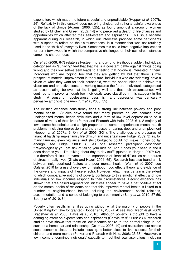expenditure which made the future stressful and unpredictable (Hopper et al. 2007b: 26). Reflexivity in this context does not bring choice, but rather a painful awareness of the lack of choice (Adams, 2006: 525), as found amongst a group of women studied by Mitchell and Green (2002: 14) who perceived a dearth of life chances and opportunities which affected their self-esteem and aspirations. This issue became apparent during our research, in which our interviews provided some participants with a space to reflect on their circumstances, in a manner that was not routinely used in the 'thick of' everyday lives. Sometimes this could have negative implications for our interviewees in which the comparative challenges of their own circumstances came into sharper focus.

Orr et al, (2006: 6-7) relate self-esteem to a four-rung livelihoods ladder. Individuals categorised as 'surviving' feel that that life is a constant battle against things going wrong and their low self-esteem leads to a feeling that no-one is interested in them. Individuals who are 'coping' feel that they are 'getting by' but that there is little prospect of material improvement in the future. Individuals who are 'adapting' have a vision of what they want for their household, what the opportunities to achieve this vision are and an active sense of working towards the future. Individuals categorised as 'accumulating' believe that life is going well and that their circumstances will continue to improve, although few individuals were classified in this category in the study. A sense of hopelessness, pessimism and depression was particularly pervasive amongst lone men (Orr et al, 2006: 35).

The existing evidence consistently finds a strong link between poverty and poor mental health. Studies have found that many parents on low incomes have undiagnosed mental health difficulties and a form of low level depression to be a feature of many of their lives (Parker and Pharaoh with Hale, 2008: 61). A majority of low income households and a high proportion of women experienced mental health problems, including depression and the stresses of caring, debt and unemployment (Hopper et al, 2007a: 3; Orr et al, 2006: 3/31). The challenges and pressures of financial hardship make family life difficult and uncertain (see Ridge, 2009: 3) as, for many families, even vigilance and strict budgeting could not make money go far enough (see Ridge, 2009: 4). As one research participant described: "Psychologically you get sick of telling your kids no. And it does your head in and it does depress you…I'm talking about day to day stuff" (quoted in Horgan, 2007: 62). It is therefore difficult to overstate the importance of financial difficulties as a source of stress in daily lives (Ghate and Hazel, 2004: 65). Research has also found a link between neighbourhood factors and poor mental health (Warr et al, 2007; see Galster, 2010 for a useful overview of neighbourhood effects theory and evidence of the drivers and impacts of these effects). However, what it less certain is the extent to which comparative notions of poverty contribute to this emotional effect and how individuals on low incomes respond to their circumstances. Recent evidence has shown that area-based regeneration initiatives appear to have a net positive effect on the mental health of residents and that this improved mental health is linked to a number of neighbourhood factors including the environment, social relations, accommodation and a sense of belonging to a community (Batty et al, 2010: 57-59; Beatty et al, 2010: 64).

Poverty often results in families going without what the majority of people in the United Kingdom take for granted (Hopper et al, 2007a: 4; see also Hirsch et al, 2009; Bradshaw et al, 2008; Davis et al, 2010). Although poverty is thought to have a damaging effect on expectations and aspirations (Canvin et al, 2009: 239), research studies have shown that those on low incomes aspire to 'the normal things in life' such as a home, car and relationship (Orr et al, 2006: 40) and aspirations cut across socio-economic class, to include housing, a better place to live, success for their children and more money (Parker and Pharoah with Hale, 2008: 35-36). However, a low income undermined individuals' capacity to meet their own aspirations, including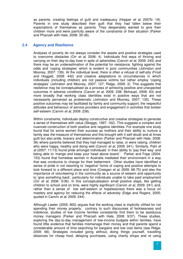as parents, creating feelings of guilt and inadequacy (Hopper et al, 2007b: 19). Parents in one study described their guilt that they had fallen below their expectations of themselves as parents. They desperately wanted to give their children more and were painfully aware of the constraints of their situation (Parker and Pharoah with Hale, 2008: 35-36).

#### **2.4 Agency and Resilience**

Analyses of poverty do not always consider the assets and positive strategies used to overcome obstacles (Orr et al, 2006: 4). Individuals find ways of thriving and carrying on their day-to-day lives in spite of adversities (Canvin et al, 2009: 245) and there may be an underestimation of the potential for resistance, fighting against the odds and 'coping strategies' which is evident in poor communities (Johnston and Mooney, 2007: 139). At the individual level, there is often a refusal of self-pity (Frost and Hoggett, 2008: 442) and creative adaptations to circumstances in which individuals (including children) are not passive victims but rather employ 'coping strategies' (Johnston and Mooney, 2007: 127; Ridge, 2009: 3). This suggests that resilience may be conceptualised as a process of achieving positive and unexpected outcomes in adverse conditions (Canvin et al, 2009: 238; Mohaupt, 2008: 63) and more broadly that working class identities exist in positive ways that are not necessarily perceived as problematic (Johnston and Mooney, 2007: 135). These positive outcomes may be facilitated by family and community support, the respectful attitudes and behaviour of service providers and engagement in activities that bolster self-esteem (Canvin et al, 2009: 238).

Within constraints, individuals deploy constructive and creative strategies to generate a sense of themselves with value (Skeggs, 1997: 162). This suggests a complex and nuanced construction of both positive and negative identities. For example one study found that for some women their success as mothers and their ability to nurture a family was the measure of themselves and this brought with it self-doubt and at times guilt but also pride, bravery and determination (Parker and Pharoah with Hale, 2008: 36) where parentis believed that they had managed to raise, or were raising, children who were happy, healthy and doing well (Canvin et al, 2009: 241). Similarly, Pahl et al (2007: 11/13) found pride amongst individuals' in their ability to 'pay their way' and being able to 'mange and keep your head above board.' Parker and Fopp (2004: 153) found that homeless women in Australia mediated their environment in a way that was conducive to change for their betterment. Other studies have identified a sense of pride in not resorting to 'negative' forms of coping and positive attempts to look forward to a different place and time (Creegan et al, 2009: 68-75) and also the importance of volunteering in the community as a source of esteem and opportunity to 'give something back', particularly for individuals unable to take paid employment (Orr et al, 2006: 5/36). In this conceptualisation small positive steps, like getting children to school and on time, were highly significant (Canvin et al, 2009: 241) and, rather than a sense of low self-esteem or hopelessness there was a focus on mastery and agency for reducing the effects of adversity (Edge and Rogers, 2005; quoted in Canvin et al, 2009: 244).

Although Lawler (2005: 800) argues that the working class is implicitly vilified for not spending their money properly, contrary to such discourses of fecklessness and indolence, studies of low income families consistently find them to be assiduous money managers (Parker and Pharoah with Hale, 2008: 9/37). These studies, exploring the day-to-day management of low-income budgets within families, have found little evidence that families mismanage their money and that parents spend a considerable amount of time searching for bargains and low cost items (see Ridge, 2009: 66). Strategies included going without, doing things yourself, travelling distances for cheap food, delaying purchases, using charity shops and re using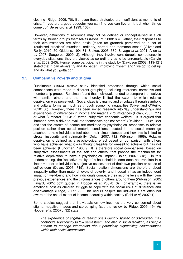clothing (Ridge, 2009: 70). But even these strategies are insufficient at moments of crisis: "If you are a good budgeter you can find you can live on it, but when things come up" (Beresford et al, 1999: 106).

However, definitions of resilience may not be defined or conceptualised in such terms by studied groups themselves (Mohaupt, 2008: 66). Rather, their responses to their circumstances are often doxic (taken for granted) perceived as a set of 'routinized practices' mundane, ordinary, normal and 'common sense' (Oliver and Reilly, 2010: 50; Giddens, 1991:81; Stokoe, 2003: 339; Savage et al, 2001; Allen et al, 2007; Saugeres, 2009: 2). Although they involve considerable competence in everyday situations, they are viewed as so ordinary as to be unremarkable (Canvin et al, 2009: 243). Hence, some participants in the study by (Davidson (2008: 119-121) stated that "I can always try and do better...improving myself" and "I've got to get up and do what you gotta do"

#### **2.5 Comparative Poverty and Stigma**

Runciman's (1966) classic study identified processes through which social comparisons were made to different groupings, including reference, normative and membership groups. Runciman found that individuals tended to compare themselves with similar others and that this thereby limited the extent to which relative deprivation was perceived. Social class is dynamic and circulates through symbolic and cultural forms as much as through economic inequalities (Oliver and O'Reilly, 2010: 50). However, there has been limited research into 'lay understandings and experiences' of differences in income and material circumstances (Dolan, 2007: 711) or what Burchardt (2004: 5) terms 'subjective economic welfare'. It is argued that 'humans have a drive to evaluate themselves against others' (Davidson, 2008: 122) and that the effects of income are mediated by psychological responses to relative position rather than actual material conditions, located in the social meanings attached to how individuals feel about their circumstances and how this is linked to stress, insecurity and vulnerability (Dolan, 2007: 712; Wilkinson, 1996). Relative deprivation is defined as a psychological effect based on comparison with others who have achieved what it was thought feasible for oneself to achieve but has not been achieved (Runciman, 1966:9). It is therefore social comparisons, based on subjective assessments of the self and others, that provide the mechanism for relative deprivation to have a psychological impact (Dolan, 2007: 718). In this understanding, the 'objective reality' of a household income does not translate in a linear manner to individual's subjective assessment of their own position or sense of self-esteem (Dolan, 2007: 715). Social relation dimensions are therefore about inequality rather than material levels of poverty, and inequality has an independent impact on well-being and how individuals compare their income levels with their own previous experiences and the circumstances of others around them (Wilkinson, 2005: Layard, 2005; both quoted in Hooper et al, 2007b: 3). For example, there is an emotional cost as children struggle to cope with the social risks of difference and disadvantage (Ridge, 2009: 29). This occurs despite the individuals are often not aware of the actual extent of income inequality within society (Pahl et al, 2007: 1).

Some studies suggest that individuals on low incomes are very concerned about stigma, negative images and stereotyping (see the review by Ridge, 2009: 19). As Hooper et al (2007b: 32) state:

The experience of stigma- of feeling one's identity spoiled or discredited- may contribute significantly to low self-esteem, and also to social isolation, as people attempt to manage information about potentially stigmatising circumstances within their social interactions.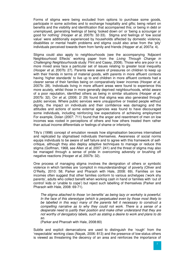Forms of stigma were being excluded from options to purchase some goods, participate in some activities and to exchange hospitality and gifts; being reliant on benefits and the visibility and identification that accompanied this; or being in debt or unemployed, generating feelings of being 'looked down on' or 'being a scrounger or good for nothing' (Hooper et al, 2007b: 32-33). Stigma and feelings of 'low social value' were additionally experienced by households affected by domestic violence, disabilities or mental health problems and stigma could also arise from the 'pity' individuals perceived towards them from family and friends (Hopper et al, 2007a: 4).

Stigma could also apply to neighbourhoods (see the accompanying 'Adjacent Neighbourhood Effects' working paper from the Living Through Change in Challenging Neighbourhoods study: Flint and Casey, 2008). Those who are poor in a more mixed area face a particular set of issues relating to greater local inequality (Hooper et al, 2007b: 27). Parents were aware of pressures on children to keep up with their friends in terms of material goods, with parents in more affluent contexts having 'higher standards' to live up to and children in more affluent contexts had a clearer sense of their families being on comparatively lower incomes (Hooper et al, 2007b: 28). Individuals living in more affluent areas were found to experience this more acutely, whilst those in more generally deprived neighbourhoods, whilst aware of a poor reputation, identified others as being in similar situations (Hooper et al, 2007b: 32). Orr et al, (2006: 2/ 29) found that stigma was also generated through public services. Where public services were unsupportive or treated people without dignity, the impact on individuals and their confidence was damaging and the attitudes and actions of some external agencies was found to have discouraged some individuals, including reinforcing low expectations of achieving employment For example, Dolan (2007: 711) found that the anger and resentment of men on low incomes was rooted in perceptions of others and how others treated them rather than actual income differentials or feelings of shame or inferiority.

Tilly's (1998) concept of emulation reveals how stigmatisation becomes internalised and replicated by stigmatised individuals themselves. Awareness of social norms equips individuals to be aware of self failure and to agree with this framework of selfcritique, although they also deploy adaptive techniques to manage or reduce this stigma (Goffman, 1968, see Allen et al, 2007: 241) and the threat of stigma may also be managed through a sense of pride in overcoming adversity or brushing off negative reactions (Hooper et al, 2007b: 32).

One process of managing stigma involves the denigration of others or symbolic violence in which families are 'complicit in misunderstandings' of poverty (Oliver and O'Reilly, 2010: 58; Parker and Pharaoh with Hale, 2008: 69). Families on low incomes often suggest that other families conform to various archetypes ('work shy parents', adults who collect benefit when working cash in hand or families with 'out of control' kids or 'unable to cope') but reject such labelling of themselves (Parker and Pharaoh with Hale, 2008: 69-71).

The stigma attached to those 'on benefits' as being lazy or workshy is powerful. In the face of this stereotype (which is perpetuated even by those most likely to be labelled in this way) many of the parents felt it necessary to construct a compelling narrative as to why they could not work. There is a sense of a desperate need to justify their position and make other understand that they are not worthy of derogatory labels, such as stating a desire to work and plans to do so.

(Parker and Pharoah with Hale, 2008:80)

Subtle and explicit demarcations are used to distinguish the 'rough' from the 'respectable' working class (Nayak, 2006: 813) and the presence of low-status others is viewed as threatening the decency of an area and reinforces the importance of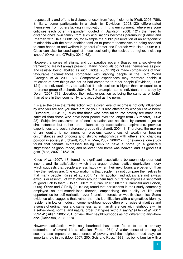respectability and efforts to distance oneself from 'rough' elements (Watt, 2006: 786). Similarly, some participants in a study by Davidson (2008:122) differentiated themselves from others lacking in motivation. In this environment, 'where everyone criticises each other' (respondent quoted in Davidson, 2008: 121) the need to distance one's own family from such accusations becomes paramount (Parker and Pharoah with Hale, 2008: 72), for example the public presentation of an antagonistic relationship with the state enables families to present themselves as being opposed to state handouts and welfare in general (Parker and Pharoah with Hale, 2008: 81). Class can also be used against those positioning themselves as higher, including 'snobs' (Oliver and O'Reilly, 2010: 62).

However, a sense of stigma and comparative poverty (based on a society-wide framework) are not always present. Many individuals do not see themselves as poor and resisted being labelled as such (Ridge, 2009: 19) or made comparisons of their favourable circumstances compared with starving people in the Third World (Creegan et al, 2009: 69). Comparative experiences may therefore enable a reflection of how things are not as bad compared to other people (Davidson, 2008: 121) and individuals may be satisfied if their position is higher than, or equal to, a reference group (Burchardt, 2004: 4). For example, some individuals in a study by Dolan (2007: 719) described their relative position as being the same as or better than others in their community, and accepted as the norm.

It is also the case that "satisfaction with a given level of income is not only influenced by who you are and you have around you, it is also affected by who you have been" (Burchardt, 2004: 29), such that those who have fallen into poverty are much less satisfied than those who have been poorer over the longer-term (Burchardt, 2004: 28). Subjective assessments of one's situation are not fixed by current objective circumstances but rather are influenced by expectations, aspirations, previous experiences and social reference groups (Burchardt, 2004: 1).Therefore, the making of an identity is contingent on previous experiences of wealth or housing circumstances and ongoing and shifting relationships with others and changing position in society (Burchardt, 2004: iii; Mee, 2007: 208/212). For example, one study found that tenants expressed feeling lucky to have a home (in a generally stigmatised neighbourhood) and believed their home was 'heaven' and 'as good as it gets' (Mee, 2007: 215/219).

Knies et al, (2007: 18) found no significant associations between neighbourhood income and life satisfaction, which they argue refutes relative deprivation theory which suggests that people are less happy when their neighbours are better off than they themselves are. One explanation is that people may not compare themselves to that many people (Knies et al, 2007: 19). In addition, individuals are not always envious or resentful of what others around them had, but rather express a sentiment of 'good luck to them' (Dolan, 2007: 719; Pahl et al, 2007: 10; Bamfield and Horton, 2009). Oliver and O'Reilly (2010: 53) found that participants in their study commonly employed an anti-materialistic rhetoric, emphasising the quality of life and opportunities for self-realisation over financial interests or wealth disparities. Some evidence also suggests that, rather than dis-identification with a stigmatised identity, residents in low or modest income neighbourhoods often emphasise similarities and a sense of ordinariness and sameness rather than differences with neighbours within a self-evident, normal and natural order that 'goes without saying' (Allen et al, 2007: 239-241; Allen, 2005: 201) or view their neighbourhoods as not different to anywhere else (Davidson, 2008: 118).

However satisfaction with neighbourhood has been found to be a primary determinant of overall life satisfaction (Fried, 1984). A wider sense of ontological security also impacts on experiences of poverty and the neighbourhood plays an important role in this (Mee, 2007; 200; Geis and Ross, 1998), as being familiar with a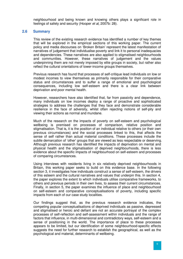neighbourhood and being known and knowing others plays a significant role in feelings of safety and security (Hooper et al, 2007b: 28).

#### **2.6 Summary**

This review of the existing research evidence has identified a number of key themes that will be explored in the empirical sections of this working paper. The current policy and media discourses on 'Broken Britain' represent the latest manifestation of narratives of judgement that individualise poverty and link it to personal inadequacies and dependencies. These narratives are also applied to stigmatised neighbourhoods and communities. However, these narratives of judgement and the values underpinning them are not merely imposed by elite groups in society, but rather also reflect the cultural orientations of lower-income groups themselves.

Previous research has found that processes of self-critique lead individuals on low or modest incomes to view themselves as primarily responsible for their comparative status and circumstances and to suffer a range of emotional and psychological consequences, including low self-esteem and there is a clear link between deprivation and poor mental health.

However, researchers have also identified that, far from passivity and dependence, many individuals on low incomes deploy a range of proactive and sophisticated strategies to address the challenges that they face and demonstrate considerable resilience in the face of adversity, whilst often rejecting notions of self-pity and viewing their actions as normal and mundane.

Much of the research on the impacts of poverty on self-esteem and psychological wellbeing is premised on processes of comparison, relative position and stigmatisation. That is, it is the position of an individual relative to others (or their own previous circumstances) and the social processes linked to this, that affects the sense of self rather than actual material conditions. These processes include the subtle demarcation of 'other' groups that are viewed as less respectable or deserving. Although previous research has identified the impacts of deprivation on mental and physical health and the stigmatisation of deprived neighbourhoods, there is less evidence about the specific impacts of neighbourhood on self-esteem and processes of comparing circumstances.

Using interviews with residents living in six relatively deprived neighbourhoods in Britain, this working paper seeks to build on this evidence base. In the following section 3, it investigates how individuals construct a sense of self-esteem, the drivers of this esteem and the cultural narratives and values that underpin this. In section 4, the paper explores the extent to which individuals utilise comparative frameworks, to others and previous periods in their own lives, to assess their current circumstances. Finally, in section 5, the paper examines the influence of place and neighbourhood on self-esteem and comparative conceptualisations of poverty, including specific impacts from each of our case study localities.

Our findings suggest that, as the previous research evidence indicates, the competing popular conceptualisations of deprived individuals as passive, depressed and stigmatised or heroic and defiant are not an accurate portrayal of the complex processes of self-reflection and self-assessment within individuals and the range of factors that influence, in multi-dimensional and contradictory ways, self-esteem and a sense of positioning in the world. The importance of place to these processes appears to be limited, but our identification of some neighbourhood-specific effects suggests the need for further research to establish the geographical, as well as the psychological and material, determinants of wellbeing.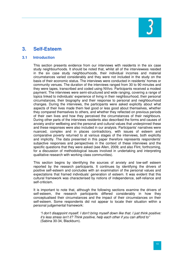

## **3. Self-Esteem**

#### **3.1 Introduction**

This section presents evidence from our interviews with residents in the six case study neighbourhoods. It should be noted that, whilst all of the interviewees resided in the six case study neighbourhoods, their individual incomes and material circumstances varied considerably and they were not included in the study on the basis of their economic status. The interviews were conducted in residents' homes or community venues. The duration of the interviews ranged from 30 to 90 minutes and they were tapes, transcribed and coded using NVivo. Participants received a modest payment. The interviews were semi-structured and wide ranging, covering a range of topics linked to individuals' experience of living in their neighbourhood, their personal circumstances, their biography and their response to personal and neighbourhood changes. During the interviews, the participants were asked explicitly about what aspects of their lives made them feel good or less good about themselves, whether they compared themselves to others, and whether they reflected on previous periods of their own lives and how they perceived the circumstances of their neighbours. During other parts of the interviews residents also described the forms and causes of anxiety and/or wellbeing and the personal and cultural values that underpinned these and these responses were also included in our analysis. Participants' narratives were nuanced, complex and in places contradictory, with issues of esteem and comparative poverty returned to at various stages of the interviews, both explicitly and implicitly. The data presented in this paper therefore represents respondents' subjective responses and perspectives in the context of these interviews and the specific questions that they were asked (see Allen, 2009; and also Flint, forthcoming, for a discussion of methodological issues involved in undertaking and interpreting qualitative research with working class communities).

This section begins by identifying the sources of anxiety and low-self esteem reported by the research participants. It continues by identifying the drivers of positive self-esteem and concludes with an examination of the personal values and expectations that framed individuals' generation of esteem. It was evident that this cultural framework was characterised by notions of independence, self-reliance and self-criticism.

It is important to note that, although the following sections examine the drivers of self-esteem, the research participants differed considerably in how they conceptualised their circumstances and the impact of their circumstances on their self-esteem. Some respondents did not appear to locate their situation within a personal judgemental framework:

"I don't disappoint myself. I don't bring myself down like that. I just think positive: it's less stress isn't it? Think positive, help each other if you can afford to" (Sabina 30-34, Blackburn).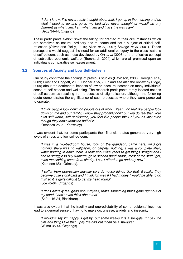"I don't know. I've never really thought about that. I get up in the morning and do what I need to do and go to my bed...I've never thought of myself as any different as what I am. I am what I am and that's the way I am" (Betty 34-44, Oxgangs).

These participants exhibit *doxa*: the taking for granted of their circumstances which are perceived as natural, ordinary and mundane and not a subject of critical selfreflection (Oliver and Reilly, 2010; Allen et al, 2007; Savage et al, 2001). These perceptions would suggest the need for an additional category to the classifications of self-esteem, such as those developed by Orr et al (2006) or the reflective concept of 'subjective economic welfare' (Burchardt, 2004) which are all premised upon an individual's comparative self-assessment.

#### **3.2 Sources of Anxiety and Low Self-Esteem**

Our study confirmed the findings of previous studies (Davidson, 2008; Creegan et al, 2009; Frost and Hoggett, 2005; Hooper et al, 2007 and see also the review by Ridge, 2009) about the detrimental impacts of low or insecure incomes on many individuals' sense of self-esteem and wellbeing. The research participants rarely located notions of self-esteem as resulting from processes of stigmatisation, although the following quote demonstrates the significance of such processes where they were perceived to operate:

"I think people look down on people out of work…Yeah I do feel like people look down on me and our family, I know they probably don't but you do feel that, your own self worth, self confidence, you feel like people think of you as lazy even though they don't know the half of it" (Rebecca 25-29, Knowsley).

It was evident that, for some participants their financial status generated very high levels of stress and low self-esteem:

"I was in a two-bedroom house, took on the grandson, came here, we'd got nothing, there was no wallpaper, on carpets, nothing, it was a complete shell, water pouring in down there. It took about five years to get things straight and I had to struggle to buy furniture, go to second hand shops, most of the stuff I get, even me clothing come from charity. I can't afford to go and buy new" (Kathleen 65+, Grimsby).

"I suffer from depression anyway so I do notice things like that, it really, they become quite significant and I think 'oh well If I had money I would be able to do this' so it is quite difficult to get my head round" (Joe 45-64, Oxgangs).

"I don't actually feel good about myself, that's something that's gone right out of my head. I don't even think about that" (Safah 16-24, Blackburn).

It was also evident that the fragility and unpredictability of some residents' incomes lead to a general sense of having to make do, unease, anxiety and insecurity:

"I wouldn't say I'm happy. I get by, but some weeks it is a struggle, if I pay the bills and things like that. I pay the bills but it can be a struggle" (Wilma 35-44, Oxgangs).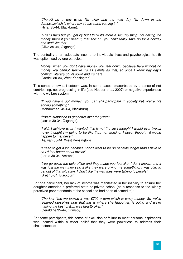"There'll be a day when I'm okay and the next day I'm down in the dumps…which is where my stress starts coming in" (Riffat 35-44, Blackburn).

 "That's hard but you get by but I think it's more a security thing, not having the money there if you need it, that sort of...you can't really save up for a holiday and stuff like that" (Olive 35-44, Oxgangs).

The centrality of an adequate income to individuals' lives and psychological health was epitomised by one participant:

Money, when you don't have money you feel down, because here without no money you cannot survive it's as simple as that, so once I know pay day's coming I literally count down and it's here (Cordell 30-34, West Kensington).

This sense of low-self esteem was, in some cases, exacerbated by a sense of not contributing, not progressing in life (see Hooper et al, 2007) or negative experiences with the welfare system:

"If you haven't got money…you can still participate in society but you're not adding something" (Mohammed, 45-64, Blackburn).

"You're supposed to get better over the years" (Jackie 30-34, Oxgangs).

"I didn't achieve what I wanted, this is not the life I thought I would ever live…I never thought I'm going to be like that, not working, I never thought it would happen to me, never" (Aaliyah 35-44, West Kensington).

"I need to get a job because I don't want to be on benefits longer than I have to so I'd feel better about myself" (Lorna 30-34, Amlwch).

"You go down the dole office and they made you feel like, I don't know…and it was just the way they said it like they were giving me something. I was glad to get out of that situation. I didn't like the way they were talking to people" (Bret 45-64, Blackburn).

For one participant, her lack of income was manifested in her inability to ensure her daughter attended a preferred state or private school (as a response to the widely perceived poor standards of the school she had been allocated to):

"The last time we looked it was £700 a term which is crazy money. So we've resigned ourselves now that this is where she [daughter] is going and we're making the best of it…I was heartbroken" (Geraldine 35-44, Grimsby)

For some participants, this sense of exclusion or failure to meet personal aspirations was located within a wider belief that they were powerless to address their circumstances: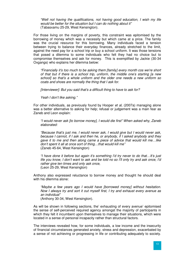"Well not having the qualifications, not having good education, I wish my life would be better for the situation but I can do nothing about it" (Tabasxamu 25-29, West Kensington).

For those living on the margins of poverty, this constraint was epitomised by the borrowing of money which was a necessity but which came at a price. The family was the crucial resource for this borrowing. Many individuals faced a tension between trying to balance their everyday finances, already stretched to the limit, against the need pay for a school trip or buy a school uniform. It was those tensions that posed a dilemma to some individuals who felt they had no choice but to compromise themselves and ask for money. This is exemplified by Jackie (30-34 Oxgangs) who explains her dilemma below:

"Financially it's too much to be asking them [family] every month cos we're short of that but if there is a school trip, uniform, the middle one's starting [a new school] so that's a whole uniform and the older one needs a new uniform so coats and shoes are normally the thing that I ask for.

[Interviewer]: But you said that's a difficult thing to have to ask for?

Yeah I don't like asking."

For other individuals, as previously found by Hooper et al, (2007a) managing alone was a better alternative to asking for help; refusal or judgement was a main fear as Zaneb and Leon explain:

"I would never ask [to borrow money], I would die first" When asked why, Zaneb elaborated:

"Because that's just me, I would never ask, I would give but I would never ask, because I cannot, if I ask and then he, or anybody, if I asked anybody and they gave it to me and then along came a piece of advice that would kill me…like don't spent it all at once sort of thing…that would kill me" (Zaneb 45-64, West Kensington)

"I have done it before but again it's something I'd try never to do that…It's just life you know, I don't want to ask and be told no so I'll only try and ask once, I'd rather give ten times and only ask once, (Leon 25-29, West Kensington)

Anthony also expressed reluctance to borrow money and thought he should deal with his dilemma alone:

"Maybe a few years ago I would have [borrowed money] without hesitation. Now I always try and sort it out myself first, I try and exhaust every avenue as an individual" (Anthony 30-34, West Kensington).

As will be shown in following sections, the' exhausting of every avenue' epitomised the sense of self-perceived required agency amongst the majority of participants in which they felt it incumbent upon themselves to manage their situations, which were located in a sense of personal incapacity rather than structural factors.

The interviews revealed how, for some individuals, a low income and the insecurity of financial circumstances generated anxiety, stress and depression, exacerbated by a sense of not achieving or progressing in life or contributing adequately to society.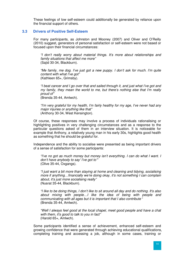These feelings of low self-esteem could additionally be generated by reliance upon the financial support of others.

#### **3.3 Drivers of Positive Self-Esteem**

For many participants, as Johnston and Mooney (2007) and Oliver and O'Reilly (2010) suggest, generators of personal satisfaction or self-esteem were not based or focused upon their financial circumstances:

"I don't really worry about material things. It's more about relationships and family situations that affect me more" (Sajid 30-34, Blackburn).

"Me family, me dog. I've just got a new puppy. I don't ask for much. I'm quite content with what I've got" (Kathleen 65+, Grimsby).

"I beat cancer and I go over that and sailed through it, and just what I've got and my family, they mean the world to me, but there's nothing else that I'm really proud of"

(Brenda 35-44, Amlwch).

"I'm very grateful for my health, I'm fairly healthy for my age, I've never had any major injuries or anything like that" (Anthony 30-34, West Kensington).

Of course, these responses may involve a process of individuals rationalising or highlighting positives in very challenging circumstances and as a response to the particular questions asked of them in an interview situation. It is noticeable for example that Anthony, a relatively young man in his early 30s, highlights good health as something that he should be grateful for.

Independence and the ability to socialise were presented as being important drivers of a sense of satisfaction for some participants:

"I've no got as much money but money isn't everything. I can do what I want. I don't have anybody to say' I've got to'" (Olive 35-44, Oxgangs).

"I just want a bit more than staying at home and cleaning and tidying, socialising more if anything...financially we're doing okay, it's not something I can complain about, it's just more socialising really" (Nusrat 35-44, Blackburn).

"I like to be doing things, I don't like to sit around all day and do nothing. It's also about mixing with people…I like the idea of being with people and communicating with all ages but it is important that I also contribute " (Brenda 35-44, Amlwch).

"Well I always feel good at the local chapel, meet good people and have a chat with them, it's good to talk to you in fact" (Harold 65+, Amlwch).

Some participants identified a sense of achievement, enhanced self-esteem and growing confidence that were generated through achieving educational qualifications, completing training and accessing a job, although in some cases, training or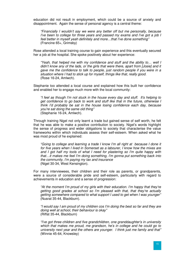education did not result in employment, which could be a source of anxiety and disappointment. Again the sense of personal agency is a central theme:

"Financially I wouldn't say we were any better off but me personally, because I've been to college for three years and passed my exams and I've got a job I feel better in myself yeah definitely and more…that I've done something" (Francine 65+, Grimsby)

Rose attended a local training course to gain experience and this eventually secured her a job at the hospital. She spoke positively about her experience:

"Yeah, that helped me with my confidence and stuff and the ability to… well I didn't know any of the lads, or the girls that were there, apart from [Josie] and it gave me the confidence to talk to people, just random people if you were in a situation where I had to stick up for myself, things like that, really good. (Rose 16-24, Amlwch).

Stephanie too attended a local course and explained how this built her confidence and enabled her to engage much more with the local community:

"I feel as though I'm not stuck in the house every day and stuff. It's helping to get confidence to go back to work and stuff like that in the future, otherwise I think I'd probably be sat in the house losing confidence each day, because you're sat doing the same old thing" (Stephanie 16-24, Amlwch).

Through training Nigel not only learnt a trade but gained sense of self worth, he felt that he was able to make a positive contribution to society. Nigel's words highlight the sense of progress and wider obligations to society that characterise the value frameworks within which individuals assess their self-esteem. When asked what he was most proud of he explained:

"Going to college and learning a trade I know I'm all right at because I done it for five years when I lived in Somerset as a labourer, I know how the mixes are and I got half my tools of what I need for plastering so I'm quite happy with that…it makes me feel I'm doing something, I'm gonna put something back into the community, I'm paying my tax and insurance (Nigel 30-34, West Kensington).

For many interviewees, their children and their role as parents, or grandparents, were a source of considerable pride and self-esteem, particularly with regard to achievements in education and a sense of progression:

"At the moment I'm proud of my girls with their education. I'm happy that they're getting good grades at school so I'm pleased with that, that they're actually getting somewhere compared to what support I used to get when I was younger" (Nusrat 35-44, Blackburn).

"I would say I am proud of my children cos I'm doing the best so far and they are doing well at school, their behaviour is okay" (Riffat 35-44, Blackburn)

"I've got three children and five grandchildren, one granddaughter's in university which that makes me proud, me grandson, he's in college and he could go to university next year and the others are younger. I think just me family and that" (Winnie 45-64, Knowsley)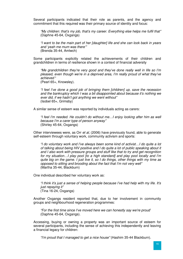Several participants indicated that their role as parents, and the agency and commitment that this required was their primary source of identity and focus:

"My children: that's my job, that's my career. Everything else helps me fulfil that" (Daphne 45-64, Oxgangs)

"I want to be the main part of her [daughter] life and she can look back in years and 'yeah me mum was there'" (Brenda 35-44, Amlwch)

Some participants explicitly related the achievements of their children and grandchildren in terms of resilience shown in a context of financial adversity

"Me grandchildren they're very good and they've done really well in life so I'm pleased, even though we're in a deprived area, I'm really proud of what they've achieved "

(Pearl 65+, Knowsley).

"I feel I've done a good job of bringing them [children] up, save the recession and the bankruptcy which I was a bit disappointed about because it's nothing we ever did, if we hadn't got anything we went without" (Isobel 65+, Grimsby)

A similar sense of esteem was reported by individuals acting as carers:

"I feel I'm needed. He couldn't do without me…I enjoy looking after him as well because I'm a carer type of person anyway" (Shirley 45-64, Oxgangs)

Other interviewees were, as Orr et al, (2006) have previously found, able to generate self-esteem through voluntary work, community activism and sports:

"I do voluntary work and I've always been some kind of activist…I do quite a lot of talking about being HIV positive and I do quite a lot of public speaking about it and I also work with pressure groups and stuff like that to try and get recognition for my situation... I play pool [to a high standard] and play pool locally and I'm quite big on the game. I just live it, so I do things, other things with my time as opposed to sitting and brooding about the fact that I'm not very well" (Martha 35-44, Blackburn)

One individual described her voluntary work as:

"I think it's just a sense of helping people because I've had help with my life. It's just repaying it" (Tina 16-24, Oxgangs)

Another Oxgangs resident reported that, due to her involvement in community groups and neighbourhood regeneration programmes:

"For the first time since I've moved here we can honestly say we're proud' (Daphne 45-64, Oxgangs).

Accessing, buying or owning a property was an important source of esteem for several participants, including the sense of achieving this independently and leaving a financial legacy for children:

"I'm proud that I managed to get a nice house" (Hashim 35-44 Blackburn).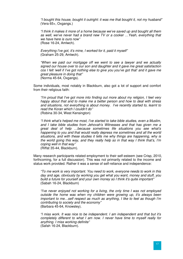"I bought this house, bought it outright: it was me that bought it, not my husband" (Vera 65+, Oxgangs.)

"I think it makes it more of a home because we've saved up and bought all them as well, we've never had a brand new TV or a cooker …Yeah, everything that we have here is ours now" (Rose 16-24, Amlwch).

Everything I've got, it's mine, I worked for it, paid it myself" (Graham 25-29, Amlwch).

"When we paid our mortgage off we went to see a lawyer and we actually signed our house over to our son and daughter and it gave me great satisfaction cos I felt 'well if I've got nothing else to give you you've got that' and it gave me great pleasure in doing that" (Norma 45-64, Oxgangs).

Some individuals, most notably in Blackburn, also got a lot of support and comfort from their religious faith:

"I'm proud that I've got more into finding out more about my religion, I feel very happy about that and to make me a better person and how to deal with stress and situations, not everything is about money. I've recently started to, learnt to read the Koran which I couldn't do" (Robina 30-34, West Kensington)

"I think what's helped me most, I've started to take bible studies, even a Muslim, and I take bible studies from Jehovah's Witnesses and that has given me a great deal of help …because sometimes life situations you see what's happening to you and that would really depress me sometimes and all the world situations, and with these studies it tells me why things are happening, why is the world going this way, and they really help so in that way I think that's, I'm coping well in that way"

(Riffat 35-44, Blackburn).

Many research participants related employment to their self-esteem (see Crisp, 2010, forthcoming, for a full discussion). This was not primarily related to the income and status work provided. Rather it was a sense of self-reliance and independence:

"To me work is very important. You need to work, everyone needs to work in this day and age, obviously by working you get what you want, money and stuff, you build a future for yourself and your own money so I think it's quite important" (Sabah 16-24, Blackburn)

"I've never enjoyed not working for a living, the only time I was not employed outside the home was when my children were growing up, it's always been important to me…self respect as much as anything, I like to feel as though I'm contributing to society and the economy" (Barbara 45-64, Knowsley).

"I miss work. It was nice to be independent. I am independent and that but it's completely different to what I am now. I never have time to myself really for anything. I miss working definite" (Safah 16-24, Blackburn).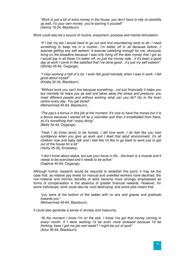"Work is just a bit of extra money in the house, you don't have to rely on benefits as well, it's your own money, you're earning it yourself" (Saima 16-24, Blackburn).

Work could also be a source of routine, enjoyment, purpose and mental stimulation:

"If I lost my job I would have to go out and find volunteering work to do. I need something to keep me in a routine…I'm better off in all because before…I wasnae getting any self esteem. It wasnae satisfying enough for me, obviously living on the breadline because I was only living off the dole money that I got so I would say in all these I'm better off, no just the money side…if it's been a good day at work I come in like satisfied that I've done good... it's just my self esteem" (Shirley 45-64, Oxgangs).

"I miss working a hell of a lot. I even felt good mentally when I was in work. I felt good about myself" (Khaliq 30-34, Blackburn)

"Without work you can't live because something…not just financially it helps you but mentally its helps you as well and takes away the stress and pressure, you meet different people and without working what can you do? Go to the town centre every day. You get bored" (Mohammed 45-64, Blackburn).

"The pay's a bonus in this job at the moment. It's nice to have the money but it is a bonus because I started off as a volunteer and then it snowballed from there, so it's something that I enjoy doing" (Betty 34-44, Oxgangs).

"Yeah I do [miss work] to be honest, I did love work, I do feel like you lose confidence when you give up work and I liked that adult environment, it's all children now and baby talk and I feel like I'd like to go back to work just to get out of the house for a bit" (Verity 25-29, Knowsley).

"I don't know about status, but just your focus in life…the brain is a muscle and it needs to be exercised and it needs to be active" (Daphne 45-64, Oxgangs).

Although further research would be required to establish this point, it may be the case that, as relative pay levels for manual and unskilled workers have declined, the non-material and intrinsic benefits of work become more strongly emphasised as forms of compensation in the absence of greater financial rewards. However, for some individuals, work could also be 'soul destroying' and some jobs meant that

"you were at the bottom of the ladder with no airs and graces and gratitude towards you" (Mohammed 45-64, Blackburn).

It could also generate a sense of anxiety and insecurity:

"At the moment I know I'm on the sick. I know I've got that money coming in every month. If I were working I'd be even more stressed because I'd be thinking 'have I got me job next week? I might be out of work'" (Artur 45-64, Blackburn).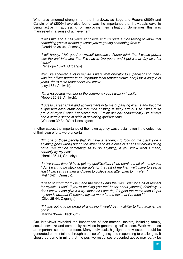What also emerged strongly from the interviews, as Edge and Rogers (2005) and Canvin et al (2009) have also found, was the importance that individuals gave to being active in addressing or improving their situation. Sometimes this was manifested in a sense of achievement:

"I was two and a half years at college and it's quite a nice feeling to know that something you've worked towards you're getting something from it" (Geraldine 35-44, Grimsby).

"I felt happy. I felt good on myself because I didnae think that I would get…it was the first interview that I've had in five years and I got it that day so I felt happy"

(Penelope 16-24, Oxgangs)

Well I've achieved a lot in my life, I went from operator to supervisor and then I was [an officer bearer in an important local representative body] for a couple of years, that's quite reasonable you know" (Lloyd 65+ Amlwch).

"I'm a respected member of the community cos I work in hospital (Robert 25-29, Amlwch).

"I guess career again and achievement in terms of passing exams and become a qualified accountant and that kind of thing is fairly arduous so I was quite proud of myself when I achieved that. I think actually academically I've always had a certain sense of pride in achieving qualifications (Waseem 30-34, West Kensington)

In other cases, the importance of their own agency was crucial, even if the outcomes of their own efforts were uncertain:

"I'm one of those people that, I'll have a tendency to look on the black side if anything goes wrong but on the other hand it's a case of 'I can't sit around doing nowt, I've got do something so I'll do anything, if you know what I mean, certainly try my best" (Harold 35-44, Grimsby).

"In two years time I'll have got my qualification. I'll be earning a bit of money cos I don't want to be stuck on the dole for the rest of me life…we'll have to see, at least I can say I've tried and been to college and attempted to my life…" (Mel 16-24, Grimsby).

"I need to work for myself, and the money and the kids…just for a bit of respect for myself…I think if you're working you feel better about yourself, definitely…I don't know, I can give it a try, that's all I can do, if it gets too much then I'll put my hands up...but I'll respect myself more for the fact that I've tried it" (Olive 35-44, Oxgangs).

"If I was going to be proud of anything it would be my ability to fight against the odds"

(Martha 35-44, Blackburn).

Our interviews revealed the importance of non-material factors, including family, social networks and community activities in generating self-esteem. Work was also an important source of esteem. Many individuals highlighted how esteem could be generated or maintained through a sense of agency and responding to challenges. It should be borne in mind that the positive responses presented above may partly be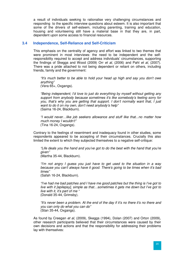a result of individuals seeking to rationalise very challenging circumstances and responding to the specific interview questions about esteem. It is also important that some of the drivers of self-esteem, including parenting, training and education, housing and volunteering still have a material base in that they are, in part, dependent upon some access to financial resources.

#### **3.4 Independence, Self-Reliance and Self-Criticism**

This emphasis on the centrality of agency and effort was linked to two themes that were prominent in most interviews: the need to be independent and the selfresponsibility required to accept and address individuals' circumstances, supporting the findings of Skeggs and Wood (2009) Orr et al, (2006) and Pahl et al, (2007). There was a pride attached to not being dependent or reliant on others, including friends, family and the government:

"It's much better to be able to hold your head up high and say you don't owe anything" (Vera 65+, Oxgangs).

"Being independent; I'd love to just do everything by myself without getting any support from anybody because sometimes it's like somebody's feeling sorry for you, that's why you are getting that support. I don't normally want that, I just want to do it on my own, don't need anybody's help"

(Saima 16-24, Blackburn).

"I would never…like job seekers allowance and stuff like that...no matter how much money I wouldn't" (Tina 16-24, Oxgangs).

Contrary to the feelings of resentment and inadequacy found in other studies, some respondents appeared to be accepting of their circumstances. Crucially this also limited the extent to which they subjected themselves to a negative self-critique:

"Life deals you the hand and you've got to do the best with the hand that you're given"

(Martha 35-44, Blackburn).

"I'm not angry I guess you just have to get used to the situation in a way because you can't always have it good. There's going to be times when it's bad times"

(Safah 16-24, Blackburn).

"I've had me bad patches and I have me good patches but the thing is I've got to live with it [epilepsy], simple as that…sometimes it gets me down but I've got to live with it, it's part of me " (Donald 35-44, Grimsby).

"It's never been a problem. At the end of the day if it's no there it's no there and you can only do what you can do" (Stan 35-44, Oxgangs).

As found by Creegan et al. (2009), Skeggs (1994), Dolan (2007) and Orton (2009), other research participants believed that their circumstances were caused by their own decisions and actions and that the responsibility for addressing their problems lay with themselves: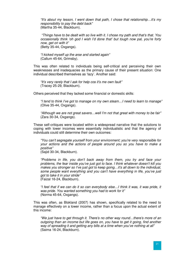"It's about my lesson, I went down that path, I chose that relationship…it's my responsibility to pay the debt back" (Martha 35-44, Blackburn).

 "Things have to be dealt with so live with it. I chose my path and that's that. You occasionally think 'oh god I wish I'd done that' but tough now pal, you're forty now, get on with it" (Betty 35-44, Oxgangs).

"I kicked myself up the arse and started again" (Callum 45-64, Grimsby).

This was often related to individuals being self-critical and perceiving their own weaknesses and inadequacies as the primary cause of their present situation: One individual described themselves as 'lazy'. Another said:

"It's very rarely that I ask for help cos it's me own fault" (Tracey 25-29, Blackburn).

Others perceived that they lacked some financial or domestic skills:

"I tend to think I've got to manage on my own steam…I need to learn to manage" (Olive 35-44, Oxgangs).

"Although we are not great savers…well I'm not that great with money to be fair" (Zara 30-34, Oxgangs).

These self-critiques were located within a widespread narrative that the solutions to coping with lower incomes were essentially individualistic and that the agency of individuals could still determine their own outcomes:

"You can't segregate yourself from your environment; you're very responsible for your actions and the actions of people around you so you have to make a positive"

(Sajid 30-34, Blackburn).

"Problems in life, you don't back away from them, you try and face your problems, the fear inside you've just got to face. I think whatever doesn't kill you makes you stronger so I've just got to keep going...it's all down to the individual, some people want everything and you can't have everything in life, you've just got to take it in your stride" (Faizal 16-24, Blackburn).

"I feel that if we can do it so can everybody else…I think it was, it was pride, it was pride. You wanted something you had to work for it" (Norma 45-64, Oxgangs).

This was often, as Blokland (2007) has shown, specifically related to the need to manage effectively on a lower income, rather than a focus upon the actual extent of this income:

"We just have to get through it. There's no other way round…there's more of an outgoing than an income but life goes on, you have to get it going, find another way of spreading it and getting any bills at a time when you've nothing at all" (Saima 16-24, Blackburn).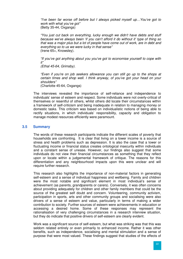"I've been far worse off before but I always picked myself up…You've got to work with what you've got" (Betty 35-44, Oxgangs)

"You just cut back on everything, lucky enough we didn't have debts and stuff because we've always been 'if you can't afford it do without it' type of thing so that was a major plus but a lot of people have come out of work, are in debt and everything so to us we were lucky in that sense" (Irene 65+, Knowsley).

"If you've got anything about you you've got to economise yourself to cope with it"

(Ethal 45-64, Grimsby).

"Even if you're on job seekers allowance you can still go up to the shops at certain times and shop well. I think anyway, of you've got your head on your shoulders" (Charlotte 45-64, Oxgangs)

The interviews revealed the importance of self-reliance and independence to individuals' sense of esteem and respect. Some individuals were not overly-critical of themselves or resentful of others, whilst others did locate their circumstances within a framework of self-criticism and being inadequate in relation to managing money or domestic tasks. This criticism was based on individualistic notions of being able to rectify situations, in which individuals' responsibility, capacity and obligation to manage modest resources efficiently were paramount.

#### **3.5 Summary**

The words of these research participants indicate the different scales of poverty that households are confronting. It is clear that living on a lower income is a source of stress and health problems such as depression. It is also the case that a lower or fluctuating income or financial status creates ontological insecurity within individuals and a constant sense of unease. However, our findings also suggest that some individuals do not view their financial circumstances as something that they reflect upon or locate within a judgemental framework of critique. The reasons for this differentiation and any neighbourhood impacts upon this were unclear and will require further research.

This research also highlights the importance of non-material factors in generating self-esteem and a sense of individual happiness and wellbeing. Family and children were the most notable and significant element in most individual's sense of achievement (as parents, grandparents or carers). Conversely, it was often concerns about providing adequately for children and other family members that could be the source of the greatest self doubt and concern. Volunteering, community activism, participation in sports, arts and other community groups and socialising were also drivers of a sense of esteem and value, particularly in terms of making a wider contribution to society. Further sources of esteem were achievements in education or accessing a desired home. Some of these responses may represent the rationalisation of very challenging circumstances in a research interview situation, but they do indicate that positive drivers of self-esteem are clearly evident.

Work was a significant source of self-esteem, but what was striking was that this was seldom related entirely or even primarily to enhanced income. Rather it was other benefits, such as independence, socialising and mental stimulation and a sense of purpose that were most valued. These findings suggest that studies of the effects of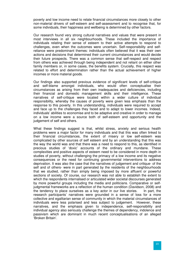poverty and low income need to relate financial circumstances more closely to other non-material drivers of self-esteem and self-assessment and to recognise that, for some individuals, their happiness and wellbeing is determined by other factors.

Our research found very strong cultural narratives and values that were present in most interviews in all six neighbourhoods. These included the importance of individuals relating their sense of esteem to their active attempts to respond to challenges, even when the outcomes were uncertain. Self-responsibility and selfreliance were predominant themes: individuals often believed that it was their own actions and decisions that determined their current circumstances and would decide their future prospects. There was a common sense that self-respect and respect from others was achieved through being independent and not reliant on either other family members or, in some cases, the benefits system. Crucially, this respect was related to effort and determination rather than the actual achievement of higher incomes or more material goods.

Our findings also supported previous evidence of significant levels of self-critique and self-blame amongst individuals, who would often conceptualise their circumstances as arising from their own inadequacies and deficiencies, including their financial and domestic management skills and their intelligence. These narratives of self-critique were located within a wider culture of individual responsibility, whereby the causes of poverty were given less emphasis than the response to this poverty. In this understanding, individuals were required to accept and face up to the challenges they faced and to adapt to lower incomes. Indeed, individuals' abilities to economise and to be adaptive and creative in order to manage on a low income were a source both of self-esteem and opportunity and the judgement of self and others.

What these findings suggest is that, whilst stress, anxiety and serious health problems were a major factor for many individuals and that this was often linked to their financial circumstances, the extent of misery or low self-esteem was complicated by other sources of self esteem and by an understanding that this was the way the world was and that there was a need to respond to this, as identified in precious studies of 'doxic' accounts of the ordinary and mundane. These complexities and positive aspects of esteem need to be considered in more depth in studies of poverty, without challenging the primacy of a low income and its negative consequences or the need for continuing governmental interventions to address deprivation. It was also the case that the narratives of judgement and critique- of the self and of others- were in part generated by the residents of the neighbourhoods that we studied, rather than simply being imposed by more affluent or powerful sections of society. Of course, our research was not able to establish the extent to which the respondents internalised or articulated wider societal discourses generated by more powerful groups including the media and politicians. Comparative or selfjudgmental frameworks are a reflection of the human condition (Davidson, 2008) and the tendency to place ourselves as a key actor in our live stories. In part, the research participants' narratives were grounded in a sense of loss for a more collective and egalitarian sense of community in which the material circumstances of individuals were less polarised and less subject to judgement. However, these narratives, and the emphasis given to independence, self-responsibility and individual agency also seriously challenge the themes of dependency, indolence and passivism which are dominant in much recent conceptualisations of an alleged 'Broken Britain'.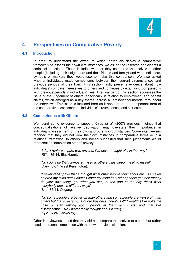

# **4. Perspectives on Comparative Poverty**

#### **4.1 Introduction**

In order to understand the extent to which individuals deploy a comparative framework to assess their own circumstances, we asked the research participants a series of questions. These included whether they compared themselves to other people (including their neighbours and their friends and family) and what indicators, symbols or markers they would use to make this comparison. We also asked whether individuals made comparisons between their current circumstances and previous periods of their lives. This section firstly presents evidence about how individuals' compare themselves to others and continues by examining comparisons with previous periods in individuals' lives. The final part of this section addresses the issue of the judgement of others, specifically in relation to employment and benefit claims, which emerged as a key theme, across all six neighbourhoods, throughout the interviews. This issue is included here as it appears to be an important form of the comparative assessment of individuals' circumstances and self-esteem.

#### **4.2 Comparisons with Others**

We found some evidence to support Knies et al, (2007) previous findings that conceptualisations of relative deprivation may overstate their importance in individual's assessment of their own and other's circumstances. Some interviewees reported that they did not view their circumstances in comparative terms or in a relational framework to others and indeed suggested that such judgements would represent an intrusion on others' privacy:

"I don't really compare with anyone. I've never thought of it in that way" (Riffat 35-44, Blackburn).

"No I don't do that [compare myself to others] I just keep myself to myself" (Gary 45-64, West Kensington).

"I never really gave that a thought what other people think about our…it's never entered my mind and it doesn't enter my mind how other people get their money, do your own thing, get what you can, at the end of the day that's what everybody does in different ways" (Stan 35-44, Oxgangs).

"No some people are better off than others and some people are worse off than others but that's really none of our business though is it? I wouldn't like poke me nose or start talking about people in that way, I just find that like disrespectful ... No I never really thought about it really (Kyle 16-24, Knowsley).

Other interviewees stated that they did not compare themselves to others, but rather used a personal comparison with their own previous situation: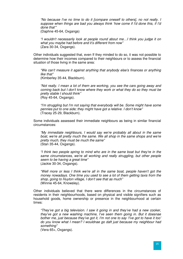"No because I've no time to do it [compare oneself to others], no not really. I suppose when things are bad you always think 'how come if I'd done this, if I'd done that'"

(Daphne 45-64, Oxgangs)

"I wouldn't necessarily look at people round about me…I think you judge it on what you maybe had before and it's different from now" (Zara 30-34, Oxgangs).

Other individuals suggested that, even If they minded to do so, it was not possible to determine how their incomes compared to their neighbours or to assess the financial situation of those living in the same area:

"We can't measure it against anything that anybody else's finances or anything like that"

(Kimberley 35-44, Blackburn).

"Not really. I mean a lot of them are working, you see the cars going away and coming back but I don't know where they work or what they do so they must be pretty stable I should think" (Roy 45-64, Oxgangs).

"I'm struggling but I'm not saying that everybody will be. Some might have some pennies put to one side; they might have got a relative. I don't know" (Tracey 25-29, Blackburn).

Some individuals assessed their immediate neighbours as being in similar financial circumstances:

"My immediate neighbours, I would say we're probably all about in the same boat, we're all pretty much the same. We all shop in the same shops and we're pretty much, they must be much the same" (Stan 35-44, Oxgangs).

"I think two people spring to mind who are in the same boat but they're in the same circumstances, we're all working and really struggling, but other people seem to be having a great time" (Jackie 30-34, Oxgangs).

"Well more or less I think we're all in the same boat, people haven't got the money nowadays. One time you used to see a lot of them getting taxis from the shop, going to Huyton village, I don't see that as much" (Winnie 45-64, Knowsley).

Other individuals believed that there were differences in the circumstances of residents in their neighbourhoods, based on physical and visible signifiers such as household goods, home ownership or presence in the neighbourhood at certain times:

"They've got a big television. I saw it going in and they've had a new cooker, they've got a new washing machine, I've seen them going in. But it doesnae bother me, just because they've got it, I'm not one to say 'I've got to have it too' do you know what I mean? I wouldnae go daft just because my neighbour had something"

(Vera 65+, Oxgangs).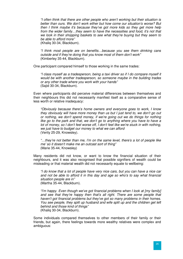"I often think that there are other people who aren't working but their situation is better than ours. We don't work either but how come our situation's worse? But then I think maybe it's because they've got more kids so they get more help from the wider family…they seem to have the necessities and food, it's not that we look in their shopping baskets to see what they're buying but they seem to be able to afford more"

(Khaliq 30-34, Blackburn).

"I think most people are on benefits…because you see them drinking cans outside and if they're doing that you know most of them don't work" (Kimberley 35-44, Blackburn).

One participant compared himself to those working in the same trades:

"I class myself as a tradesperson, being a taxi driver so if I do compare myself it would be with another tradesperson, so someone maybe in the building trades or any other trade where you work with your hands" (Sajid 30-34, Blackburn).

Even where participants did perceive material differences between themselves and their neighbours this did not necessarily manifest itself as a comparative sense of less worth or relative inadequacy:

"Obviously because there's home owners and everyone goes to work, I know they obviously will have more money than us but I just tend to, we don't go out or nothing, we don't spend money, if we're going out we do things for nothing like go to the park and that, we don't go to anything where you have to have a lot of money, so I don't feel worse off, I don't feel like we're stuck in with nothing, we just have to budget our money to what we can afford (Verity 25-29, Knowsley).

"…they're not better than me, I'm on the same level, there's a lot of people like me' so it doesn't make me an outcast sort of thing" (Marie 35-44, Knowsley)

Many residents did not know, or want to know the financial situation of their neighbours, and it was also recognised that possible signifiers of wealth could be misleading or that material wealth did not necessarily equate to wellbeing:

"I do know that a lot of people have very nice cars, but you can have a nice car and not be able to afford it in this day and age so who's to say what financial situation people are in" (Martha 35-44, Blackburn).

"I'm happy. Even though we've got financial problems when I look at [my family] and see that they're happy then that's all right. There are some people that haven't got financial problems but they've got so many problems in their homes. You see people, they split up husband and wife split up and the children get left behind and those kind of things" (Khaliq 30-34, Blackburn).

Some individuals compared themselves to other members of their family or their friends, but again, there feelings towards more wealthy relatives were complex and ambiguous: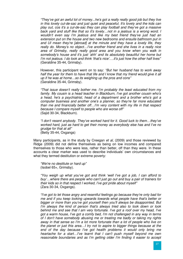"They've got an awful lot of money...he's got a really really good job but they live in this lovely cul-de-sac and just quiet and peaceful. It's lovely and the kids can play out, cos it's a cul-de-sac they can play football and they've got a massive back yard and stuff like that so it's lovely...not in a jealous is a wrong word. I wouldn't even say I'm jealous and like my best friend they've just had an extension put on the house and two new bedrooms and ensuite bathroom put in and UI mean they're [abroad] at the minute and they have a lovely life, they really do. Money's no object…I've another friend and she lives in a really nice area of Grimsby, really really good area and you know when you walk in somebody's house and it's just 'ahh' and its absolutely beautiful her home but I'm not jealous. I do look and think 'that's nice'....it's just how the other half lives" (Geraldine 35-44, Grimsby).

However, this participant went on to say: "But her husband has to work away half the year for them to have that life and I know that my friend would give it all up if he was at home…so its weighing up the pros and cons" (Geraldine 35-44, Grimsby).

"That issue doesn't really bother me. I'm probably the least educated from my family. My cousin is a head teacher in Blackburn, I've got another cousin who's a head, he's a psychiatrist, head of a department and a brother who's got a computer business and another one's a planner, so they're far more educated than me and financially better off…I'm very content with my life in that respect because I compare myself to people who are worse off" (Sajid 30-34, Blackburn).

"I don't resent anybody. They've worked hard for it. Good luck to them…they've worked hard, just as hard to get their money as everybody else has and I've no grudge for that at all" (Betty 35-44, Oxgangs)

Many participants, as in the study by Creegan *et al.* (2009) and those reviewed by Ridge (2009) did not define themselves as being on low incomes and compared themselves to those who were less, rather than better, off than they were. In these accounts a clear marker was used to describe individuals' own circumstances and what they termed destitution or extreme poverty:

"We're no destitute or hard up" (Isobel 65+, Grimsby).

"You weigh up what you've got and think 'well I've got a job, I can afford to buy'…where there are people who can't just go out and buy a pair of trainers for their kids so in that respect I worked, I've got pride about myself" (Zara 30-34, Oxgangs).

"I've got to let those angry and resentful feelings go because they're only bad for me and if you keep looking upwards towards what people have that's better or bigger or more than you've got yourself then you'll always be disappointed. But I'm always the kind of person that's always tried also to look down or look behind me and see that I am very fortunate. I've got a roof over my head, I've got a warm house, I've got a comfy bed, I'm not challenged in any way in terms of I don't have somebody abusing me or treating me badly or taking my rights away in that sense so I'm a lot more fortunate than a lot of people who live on the planet or just this area…I try not to aspire to bigger things because at the end of the day because I've got health problems it would only bring me heartache for a start…I've learnt that I can't push myself beyond me own reasonable boundaries and as I'm getting older I'm finding it easier to accept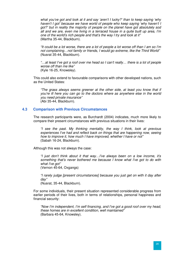what you've got and look at it and say 'aren't I lucky?' than to keep saying 'why haven't I got' because we have world of people who keep saying 'why haven't I got?' but in reality the majority of people on the planet have got absolutely sod all and we are, even me living in a terraced house in a quite built up area, I'm one of the world's rich people and that's the way I try and look at it" (Martha 35-44, Blackburn).

"It could be a lot worse, there are a lot of people a lot worse off than I am so I'm not complaining…not family or friends, I would go extreme, like the Third World" (Nusrat 35-44, Blackburn).

"…at least I've got a roof over me head so I can't really… there is a lot of people worse off than me like" (Kyle 16-25, Knowsley).

This could also extend to favourable comparisons with other developed nations, such as the United States:

"The grass always seems greener at the other side, at least you know that if you're ill here you can go to the doctors where as anywhere else in the world you need private insurance" (Abi 35-44, Blackburn).

#### **4.3 Comparison with Previous Circumstances**

The research participants were, as Burchardt (2004) indicates, much more likely to compare their present circumstances with previous situations in their lives:

"I see the past. My thinking mentality, the way I think, look at previous experiences I've had and reflect back on things that are happening now, seeing how to improve it, how much I have improved, whether I have or not" (Sabah 16-24, Blackburn).

Although this was not always the case:

"I just don't think about it that way…I've always been on a low income, it's something that's never bothered me because I know what I've got to do with what I've got"

(Vernon 45-64, Oxgangs)

"I rarely judge [present circumstances] because you just get on with it day after day"

(Nusrat, 35-44, Blackburn).

For some individuals, their present situation represented considerable progress from earlier periods of their lives, both in terms of relationships, personal happiness and financial security:

"Now I'm independent, I'm self financing, and I've got a good roof over my head, these homes are in excellent condition, well maintained" (Barbara 45-64, Knowsley).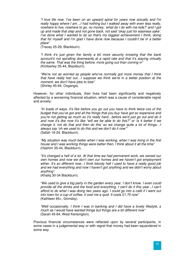"I love life now. I've been on an upward spiral for years now actually and I'm really happy where I am…I had nothing but I walked away with even less really, nowhere to live, nowhere to go, no money, 'what do I do with me kids?' and I got up and made that step and not gone back, not said 'okay just for easiness sake'. I've done what I wanted to do so that's my biggest achievement I think, doing that for myself and I'm glad I have done now because I couldn't be in a better place"

(Tracey 25-29, Blackburn).

"I think it's just given the family a bit more security knowing that the bank account's not spiralling downwards at a rapid rate and that it's staying virtually the same. That was the thing before, more going out than coming in" (Kimberley 35-44, Blackburn).

"We're not as worried as people who've normally got more money that I think that have really lost out…I suppose we think we're in a better position at the moment, we don't have jobs to lose" (Shirley 45-64, Oxgangs).

However, for other individuals, their lives had been significantly and negatively affected by a worsening financial situation, which was a cause of considerable regret and anxiety:

"In loads of ways, it's like before you go out you have to think twice cos of the budget that you've got and all the things that you buy have got so expensive and you're not getting as much so it's really hard…before we'd just go out and do it and now it's like now it's like "will we be able to do this?" or 'is it better if we change it, not do that and then do this' so we change quite a lot of things…I always say 'oh we used to do this and we don't do it now'" (Safah 16-24, Blackburn).

"My situation was much better when I was working, when I was living in the first house and I was working things were better then, I think about it all the time" (Hashim 35-44, Blackburn).

"It's changed a hell of a lot. At that time we had permanent work, we owned our own homes and now we don't own our homes and we haven't got employment either. It's so different now...I think bloody hell I used to have a really good job and we had everything and now I haven't got anything and we didn't worry about anything"

(Khaliq 30-34 Blackburn).

"We used to give a big party in the garden every year. I don't know. I even could provide all the drinks and the food and everything. I can't do it this year...I can't afford to do what I was doing two years ago. I could go into a café if I went out into town for a cup of coffee, it cost me a quid. It costs £1.70 now" (Kathleen 65+, Grimsby).

"Well occasionally, I think I was in banking and I did have a lovely lifestyle, s much as I would have wanted things but things are a lot different now" (Sarah 45-64, West Kensington).

Previous financial circumstances were reflected upon by several participants, in some cases in a judgemental way or with regret that money had been squandered in some way.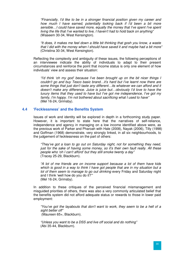"Financially, I'd like to be in a stronger financial position given my career and how much I have earned, potentially looking back if I'd been a bit more sensible…I could have saved more, equally the money that I've spent I've spent living the life that I've wanted to live, I haven't had to hold back on anything" (Waseem 30-34, West Kensington).

"It does, it makes me feel down a little bit thinking that gosh you know, a waste that I did with the money when I should have saved it and maybe had a bit more" (Christina 30-34, West Kensington).

Reflecting the complexity and ambiguity of these issues, the following perceptions of an interviewee indicate the ability of individuals to adapt to their present circumstances and reinforce the point that income status is only one element of how individuals' view and assess their situation:

"I'd think 'oh my god' because I've been brought up on the bit nicer things I couldn't go and buy Tesco basic brand…it's hard but I've learnt now there are some things that just don't taste any different…its whatever we can afford and it doesn't make any difference. Juice is juice but…obviously I'd love to have the luxury items that they used to have but I've got me independence, I've got my family, I'm happy. I'm not bothered about sacrificing what I used to have" (Mel 16-24, Grimsby).

#### **4.4 'Fecklessness' and the Benefits System**

Issues of work and identity will be explored in depth in a forthcoming study paper. However, it is important to state here that the narratives of self-reliance, independence and agency in managing on a low income identified above were, as the previous work of Parker and Pharoah with Hale (2008), Nayak (2006), Tilly (1998) and Goffman (1968) demonstrate, very strongly linked, in all six neighbourhoods, to the judgement of fecklessness on the part of others:

"They've got a loan to go out on Saturday night, not for something they need, just for the sake of having some money, so it's their own fault really. All these people who 'oh I can't afford' but they still smoke twenty a day" (Tracey 25-29, Blackburn).

"A lot of me friends are on income support because a lot of them have kids which is good in a way to think I have got people that are in my situation but a lot of them seem to manage to go out drinking every Friday and Saturday night and I think 'well how do you do it?'" (Mel 16-24, Grimsby).

In addition to these critiques of the perceived financial mismanagement and misguided priorities of others, there was also a very commonly articulated belief that the benefits system did not afford adequate status or rewards to those in lower paid employment:

"You've got the layabouts that don't want to work, they seem to be a hell of a sight better off"

(Maureen 65+, Blackburn).

"Unless you want to be a DSS and live off social and do nothing" (Abi 35-44, Blackburn).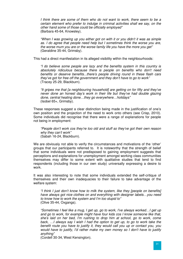I think there are some of them who do not want to work, there seem to be a certain element who prefer to indulge in criminal activities shall we say, on the other hand some of those could be officially employed" (Barbara 45-64, Knowsley).

"When I was growing up you either got on with it or you didn't it was as simple as. I do agree that people need help but I sometimes think the worse you are, the worse mum you are or the worse family life you have the more you get" (Geraldine 35-44, Grimsby).

This had a direct manifestation in its alleged visibility within the neighbourhoods:

"I do believe some people are lazy and the benefits system in this country is absolutely ridiculous because there is people on benefits who don't need benefits or deserve benefits...there's people driving round in these flash cars they've got for free off the government and they don't have to go to work" (Tracey 25-29, Blackburn).

"It gripes me that [a neighbouring household] are getting on for fifty and they've never done an honest day's work in their life but they've had double glazing done, central heating done…they go everywhere…holidays" (Isobel 65+, Grimsby).

These responses suggest a clear distinction being made in the justification of one's own position and the projection of the need to work onto others (see Crisp, 2010). Some individuals did recognise that there were a range of explanations for people not being in employment:

"People don't work cos they're too old and stuff so they've got their own reason why they can't work" (Sabah 16-24, Blackburn).

We are obviously not able to verify the circumstances and motivations of the 'other' groups that our participants referred to. It is noteworthy that the strength of belief that some individuals were not predisposed to gaining employment suggests that perceptions and explanations for unemployment amongst working class communities themselves may differ to some extent with qualitative studies that tend to find respondents (including those in our own study) universally expressing a desire to work.

It was also interesting to note that some individuals extended the self-critique of themselves and their own inadequacies to their failure to take advantage of the welfare system:

"I think I just don't know how to milk the system, like they [people on benefits] have always got nice clothes on and everything with designer labels…you need to know how to work the system and I'm too stupid to" (Olive 35-44, Oxgangs).

"Sometimes I feel like a mug, I get up, go to work, I've always worked…I get up and go to work, for example might have four kids cos I know someone like that, she's laid on her bed, I'm rushing to drop him at school, go to work, come back, …I always say I wish I had the option to get up, to go to work take the benefit route you have to justify it, they would call you up or contact you, you would have to justify, I'd rather make my own money so I don't have to justify anything"

(Cordell 30-34, West Kensington).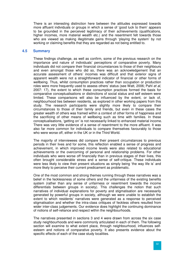There is an interesting distinction here between the attitudes expressed towards more affluent individuals or groups in which a sense of 'good luck to them' appears to be grounded in the perceived legitimacy of their achievements (qualifications, higher incomes, more material wealth etc.) and the resentment felt towards those who are viewed as making illegitimate gains through 'playing the system' by not working or claiming benefits that they are regarded as not being entitled to.

#### **4.5 Summary**

These findings challenge, as well as confirm, some of the previous research on the importance and nature of individuals' perceptions of comparative poverty. Many individuals did not compare their financial circumstances to those of their neighbours and even amongst those who did so, there was an acknowledgement that an accurate assessment of others' incomes was difficult and that exterior signs of apparent wealth were not a straightforward indicator of financial or other forms of wellbeing. Thus, whilst consumption practices rather than occupation or production roles were more frequently used to assess others' status (see Watt, 2006; Pahl et al. 2007: 17), the extent to which these consumption practices formed the basis for comparative conceptualisations or distinctions of social status and self esteem were limited. These comparisons will also be influenced by the extent, or lack of, neighbourhood ties between residents, as explored in other working papers from this study. The research participants were slightly more likely to compare their circumstances to those of their family and friends, but even in these cases the greater wealth of others was framed within a context of other forms of happiness and the sacrificing of other means of wellbeing such as time with families. In these conceptualisations, 'getting on' is not necessarily linked to enhanced material income. There was very little evidence of a sense of resentment to the more affluent. It was also far more common for individuals to compare themselves favourably to those who were worse off, either in the UK or in the Third World.

The majority of interviewees did compare their present circumstances to previous periods in their lives and for some, this reflection enabled a sense of progress and achievement, in which improved income levels were also related to educational achievements or the overcoming of personal and relationship problems. For other individuals who were worse off financially than in previous stages of their lives, this often brought considerable stress and a sense of self-critique. These individuals were less likely to view their present situations as simply being 'the way life is' and more likely to perceive their current predicament as problematic.

One of the most common and strong themes running through these narratives was a belief in the fecklessness of some others and the unfairness of the existing benefits system (rather than any sense of unfairness or resentment towards the income differentials between groups in society). This challenges the notion that such narratives of individual explanations for poverty and stigmatisation are necessarily generated by powerful groups in society, although we were unable to establish the extent to which residents' narratives were generated as a response to perceived stigmatisation and whether the intra-class critiques of feckless others resulted from wider inter-class judgements. Our evidence does highlight the continuing dominance of notions of self-reliance and respect within the neighbourhoods.

The narratives presented in sections 3 and 4 were drawn from across the six case study neighbourhoods and were commonly articulated in each of them. The following section will examine to what extent place, through neighbourhood, influences selfesteem and notions of comparative poverty. It also presents evidence about the specific effects of each of the case study localities.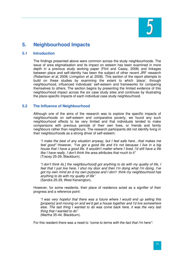

# **5. Neighbourhood Impacts**

#### **5.1 Introduction**

The findings presented above were common across the study neighbourhoods. The issue of area stigmatisation and its impact on esteem has been examined in more depth in a previous study working paper (Flint and Casey, 2008) and linkages between place and self-identity has been the subject of other recent JRF research (Robertson et al, 2008; Livingston et al, 2008). This section of the report attempts to build on these studies by examining the extent to which 'place', through neighbourhood, influenced individuals' self-esteem and frameworks for comparing themselves to others. The section begins by presenting the limited evidence of this neighbourhood impact across the six case study sites and continues by illustrating the place-specific impacts of each individual case study neighbourhood.

#### **5.2 The Influence of Neighbourhood**

Although one of the aims of the research was to explore the specific impacts of neighbourhoods on self-esteem and comparative poverty, we found any such neighbourhood effects to be very limited and that individuals tended to make comparisons with previous periods of their own lives, or friends and family neighbours rather than neighbours. The research participants did not identify living in their neighbourhoods as a strong driver of self-esteem:

"I make the best of any situation anyway, but I feel safe here…that makes me feel good" However, "I've got a good life and it's not because I live in a big house that I have a good life. It wouldn't matter where I lived, I'd still have a life like I have really. I don't think the area attributes that much to it" (Tracey 25-29, Blackburn).

"I don't think its [ the neighbourhood] got anything to do with my quality of life, I feel that I just live here, I shut my door and then I'm doing what I'm doing, I've got my own mind an d my own purpose and I don't think my neighbourhood has anything to do with my quality of life" (Sandra 25-29, West Kensington).

However, for some residents, their place of residence acted as a signifier of their progress and a reference point:

"I was very hopeful that there was a future where I would end up selling this [property] and moving on and we'd get a house together and I'd live somewhere else. The last thing I wanted to do was come back here, it was the very last thing that I wanted to do" (Martha 35-44, Blackburn).

For this resident there was a need to "come to terms with the fact that I'm here":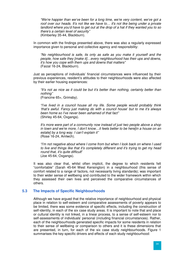"We're happier than we've been for a long time, we're very content, we've got a roof over our heads. It's not like we have to… it's not like being under a private landlord where you'd have to get out at the drop of a hat if they wanted you to so there's a certain level of security" (Kimberley 35-44, Blackburn).

In common with the findings presented above, there was also a regularly expressed importance given to personal and collective agency and responsibility:

"No neighbourhood is safe, its only as safe as you make it yourself and the people, how safe they [make it]…every neighbourhood has their ups and downs, it's how you cope with them ups and downs that matters" (Faizal 16-24, Blackburn).

Just as perceptions of individuals' financial circumstances were influenced by their previous experiences, resident's attitudes to their neighbourhoods were also affected by their earlier housing experiences:

"It's not as nice as it could be but it's better than nothing, certainly better than nothing"

(Francine 65+, Grimsby).

"I've lived in a council house all my life. Some people would probably think 'that's awful. Fancy just making do with a council house' but to me it's always been home so I've never been ashamed of that fact" (Shirley 45-64, Oxgangs).

It's more were part of a community now instead of just two people above a shop in town and we're more, I don't know…it feels better to be here[in a house on an estate] by a long way. I can't explain it" (Rose 16-24, Amlwch).

"I'm not negative about where I come from but when I look back on where I used to live and things like that it's completely different and it's trying to get my head round that, it's quite difficult" (Joe 45-64, Oxgangs).

It was also clear that, whilst often implicit, the degree to which residents felt "comfortable" (Sarah 45-64 West Kensington) in a neighbourhood (this sense of comfort related to a range of factors, not necessarily living standards); was important to their wider sense of wellbeing and contributed to the wider framework within which they assessed their own lives and perceived the comparative circumstances of others.

#### **5.3 The Impacts of Specific Neighbourhoods**

Although we have argued that the relative importance of neighbourhood and physical place in relation to self-esteem and comparative assessments of poverty appears to be limited, there was some evidence of specific effects, including the construction of self-identity, in each of the six case study areas. It is important to note that and place or cultural identity is not linked, in a linear process, to a sense of self-esteem nor to self-assessments of individuals' personal (including financial circumstances). Rather, each of the neighbourhoods generated specific impacts for some residents in relation to their sense of wellbeing or comparison to others and it is these dimensions that are presented, in turn, for each of the six case study neighbourhoods. Figure 1 summarises the key specific drivers and effects of each study neighbourhood: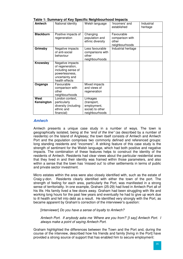| Amlwch             | National identity                                                                                                 | Welsh language                                                               | 'Incomers' and<br>established                            | Industrial<br>heritage |
|--------------------|-------------------------------------------------------------------------------------------------------------------|------------------------------------------------------------------------------|----------------------------------------------------------|------------------------|
| <b>Blackburn</b>   | Positive impacts of<br>regeneration                                                                               | Changing<br>population and<br>ethnic diversity                               | Favourable<br>comparison with<br>other<br>neighbourhoods |                        |
| Grimsby            | Negative impacts<br>of anti-social<br>behaviour                                                                   | Less favourable<br>comparisons with<br>other<br>neighbourhoods               | Industrial heritage                                      |                        |
| <b>Knowsley</b>    | Negative impacts<br>of regeneration,<br>including sense of<br>powerlessness,<br>uncertainty and<br>health effects |                                                                              |                                                          |                        |
| Oxgangs            | Favourable<br>comparison with<br>other<br>neighbourhoods                                                          | Mixed impacts<br>and views of<br>regeneration                                |                                                          |                        |
| West<br>Kensington | London context,<br>particularly<br>diversity (including<br>ethnic and<br>financial)                               | Linkages<br>(transport,<br>employment,<br>social) to other<br>neighbourhoods |                                                          |                        |

#### **Table 1: Summary of Key Specific Neighbourhood Impacts**

#### **Amlwch**

Amlwch presents a unique case study in a number of ways. The town is geographically isolated, being at the "end of the line" (as described by a number of residents) on the Island of Anglesey; the town itself consists of Amlwch and Amlwch Port and the population comprises two commonly defined and referenced groups: long standing residents and "incomers". A striking feature of this case study is the strength of sentiment for the Welsh language, which had both positive and negative impacts. The combination of these features helps to construct the identity of the residents of Amlwch. Residents had clear views about the particular residential area that they lived in and their identity was framed within those parameters, and also within a sense that the town has 'missed out' to other settlements in terms of public and private sector investment.

Micro estates within the area were also closely identified with, such as the estate of Craig-y-don. Residents clearly identified with either the town of the port. The strength of feeling for each area, particularly the Port, was manifested in a strong sense of territoriality. In one example, Graham (25-29) had lived in Amlwch Port all of his life. His family lived a few doors away. Graham had been struggling with life and working long hours for the past few years and eventually he had to give up work due to ill health and fell into debt as a result. He identified very strongly with the Port, as became apparent by Graham's correction of the interviewer's question:

[Interviewer] Do you have a sense of loyalty to Amlwch?

Amlwch Port. If anybody asks me 'Where are you from?' [I say] Amlwch Port. I always make a point of saying Amlwch Port.

Graham highlighted the differences between the Town and the Port and, during the course of the interview, described how his friends and family [living in the Port] have provided a strong source of support that has enabled him to secure employment: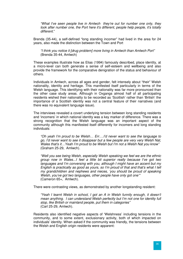"What I've seen people live in Amlwch they're out for number one only, they look after number one, the Port here it's different, people help people, it's totally different"

Brenda (35-44), a self-defined "long standing incomer" had lived in the area for 24 years, also made the distinction between the Town and Port

"I think you notice it [drug problem] more living in Amlwch than Amlwch Port" (Brenda 35-44, Amlwch)

These examples illustrate how as Elias (1994) famously described, place identity, at a micro-level can both generate a sense of self-esteem and wellbeing and also provide the framework for the comparative denigration of the status and behaviour of others.

Individuals in Amlwch, across all ages and gender, felt intensely about "their" Welsh nationality, identity and heritage. This manifested itself particularly in terms of the Welsh language. This identifying with their nationality was far more pronounced than the other case study areas. Although in Oxgangs almost half of all participating residents wished their nationality to be recorded as 'Scottish' rather than 'British' the importance of a Scottish identity was not a central feature of their narratives (and there was no equivalent language issue).

The interviews revealed a covert underlying tension between long standing residents and 'incomers' in which national identity was a key marker of difference. There was a strong recognition that the Welsh language was an important aspect of the community although this manifested itself differently for incomers and long standing individuals:

"Oh yeah I'm proud to be Welsh… Err….I'd never want to see the language to go, I'd never want to see it disappear but a few people are very very Welsh Nat, Wales that's it…Yeah I'm proud to be Welsh but I'm not a Welsh Nat you know" (Graham 25-29, Amlwch).

"Well you see being Welsh, especially Welsh speaking we feel we are the ethnic group now in Wales...I feel a little bit superior really because I've got two languages and I'm conversing with you, although I might have an accent but my English is practically as good as yours, so I'm proud of that and that's what I tell my grandchildren and nephews and nieces, 'you should be proud of speaking Welsh, you've got two languages, other people have only got one'" (Cameron 65+, Amlwch).

There were contrasting views, as demonstrated by another longstanding resident:

"Yeah I learnt Welsh in school, I got an A in Welsh funnily enough, it doesn't mean anything. I can understand Welsh perfectly but I'm not one for identity full stop, like British or mainland people, put them in categories" (Carl 25-29, Amlwch).

Residents also identified negative aspects of 'Welshness' including tensions in the community, and to some extent, exclusionary activity, both of which impacted on individuals' identity. When asked if the community was friendly, the tensions between the Welsh and English origin residents were apparent: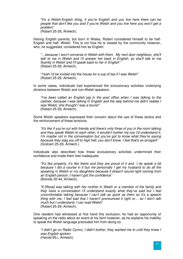"It's a Welsh-English thing, if you're English and you live here there can be people that don't like you and if you're Welsh and you live here you won't get a problem"

(Robert 25-29, Amlwch).

Having English parents, but born in Wales, Robert considered himself to be half-English and half- Welsh. This is not how he is viewed by the community however, who, he suggested, considered him as English:

"…because I won't converse in Welsh with them. My next door neighbour, she'll talk to me in Welsh and I'll answer her back in English, so she'll talk to me fluently in Welsh and I'll speak back to her in English" (Robert 25-29, Amlwch).

"Yeah I'd be invited into the house for a cup of tea if I was Welsh" (Robert 25-29, Amlwch).

In some cases, individuals had experienced the exclusionary activities underlying divisions between Welsh and non-Welsh speakers.

"I've been called an English pig in the post office when I was talking to the cashier, because I was talking in English and the lady behind me didn't realise I was Welsh, she thought I was a tourist" (Robert 25-29, Amlwch).

Some Welsh speakers expressed their concern about the use of these tactics and the reinforcement of these tensions:

"It's like if you're out with friends and there's only three of you in the room talking and they speak Welsh to each other, it wouldn't bother me cos I'd understand it, I'm maybe not in the conversation but you've got to know what they're saying because they slag you off to high hell, you don't know, I feel that's so arrogant" (Graham 25-29, Amlwch.)

Individuals also described how these exclusionary activities undermined their confidence and made them feel inadequate:

"It's like property, it's like theirs and they are proud of it and I do speak a bit because I did a course in it but me personally I get my husband to do all the speaking in Welsh or my daughters because it doesn't sound right coming from an English person, I haven't got the confidence" (Brenda 35-44, Amlwch).

"If [Rose] was talking with her mother in Welsh or a member of the family and they have a conversation I'll understand exactly what they've said but I feel uncomfortable talking because I can't talk as quick as them so it's a speech thing with me, I feel bad that I haven't pronounced it right or… so I don't talk much but I understand, I can read Welsh" (Robert 25-29, Amlwch).

One resident had witnessed at first hand this exclusion; he had an opportunity of speaking on the radio about an event at his farm however, as he explains his inability to speak the Welsh language precluded him from doing so.

"I didn't go on Radio Cymru, I didn't bother, they wanted me to until they knew I was English spoken (Harold 65+, Amlwch).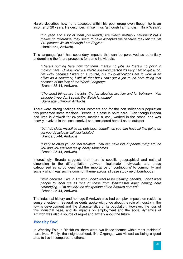Harold describes how he is accepted within his peer group even though he is an incomer of 20 years. He describes himself thus "although I am English I think Welsh":

"Oh yeah and a lot of them [his friends] are Welsh probably nationalist but it makes no difference, they seem to have accepted me because they tell me I'm 110 percent Welsh although I am English" (Harold 65+, Amlwch).

This language 'gulf' has secondary impacts that can be perceived as potentially undermining the future prospects for some individuals:

"There's nothing here now for them, there's no jobs so there's no point in moving here. Unless you're a Welsh speaking person it's very hard to get a job. I'm lucky because I went on a course, but my qualifications are to work in an office as a secretary, I did all that but I can't get a job round here doing that because of the lack of the Welsh Language (Brenda 35-44, Amlwch).

"The worst things are the jobs, the job situation are few and far between. You struggle if you don't speak the Welsh language" (Stella age unknown Amlwch).

There were strong feelings about incomers and for the non indigenous population this presented some tensions. Brenda is a case in point here. Even though Brenda had lived in Amlwch for 24 years, married a local, worked in the school and was heavily involved in the local carnival she considered herself as an outsider

"but I do class myself as an outsider…sometimes you can have all this going on yet you do actually still feel isolated (Brenda 35-44, Amlwch)

"Every so often you do feel isolated. You can have lots of people living around you and you just feel really lonely sometimes" (Brenda 35-44, Amlwch).

Interestingly, Brenda suggests that there is specific geographical and national dimension to the differentiation between 'legitimate' individuals and those categorised as 'scroungers' and the importance of 'contributing' to community and society which was such a common theme across all case study neighbourhoods:

"Well because I live in Amlwch I don't want to be claiming benefits, I don't want people to label me as 'one of those from Manchester again coming here scrounging... I'm actually the chairperson of the Amlwch carnival" (Brenda 35-44, Amlwch).

The industrial history and heritage if Amlwch also had complex impacts on residents sense of esteem. Several residents spoke with pride about the role of industry in the town's development and the characteristics of its population. However, the loss of this industrial base, and its impacts on employment and the social dynamics of Amlwch was also a source of regret and anxiety about the future.

#### **Wensley Fold**

In Wensley Fold in Blackburn, there were two linked themes within most residents' narratives. Firstly, the neighbourhood, like Oxgangs, was viewed as being a good area to live in compared to others: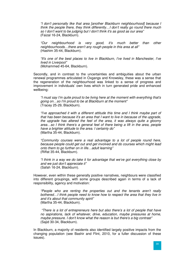"I don't personally like that area [another Blackburn neighbourhood] because I think the people there, they think differently…I don't really go round there much so I don't want to be judging but I don't think it's as good as our area" (Faizal 16-24, Blackburn).

"Our neighbourhood is very good, it's much better than other neighbourhoods…there aren't any rough people in this area at all" (Hashim 35-44, Blackburn).

"It's one of the best places to live in Blackburn, I've lived in Manchester, I've lived in Liverpool"

(Mohammed 45-64, Blackburn).

Secondly, and in contrast to the uncertainties and ambiguities about the urban renewal programmes articulated in Oxgangs and Knowsley, these was a sense that the regeneration of the neighbourhood was linked to a sense of progress and improvement in individuals' own lives which in turn generated pride and enhanced wellbeing:

"I must say I'm quite proud to be living here at the moment with everything that's going on…so I'm proud to be at Blackburn at the moment" (Tracey 25-29, Blackburn).

"I've approached it with a different attitude this time and I think maybe part of that has been because it's an area that I want to live in because of the upgrade, the upgrade has altered the feel of the area, it was always quite a gloomy area…so I think there's a general feel of there being a lift in the area, people have a brighter attitude to the area. I certainly do" (Martha 35-44, Blackburn).

"Community courses were a real advantage to a lot of people round here, because people could get out and get involved and do courses which might lead onto them to go further on in life…adult learning" (Riffat 35-44, Blackburn).

"I think in a way we do take it for advantage that we've got everything close by and we just don't appreciate it" (Safah 16-24, Blackburn).

However, even within these generally positive narratives, neighbours were classified into different groupings, with some groups described again in terms of a lack of responsibility, agency and motivation:

"People who are renting the properties out and the tenants aren't really bothered…I think people need to know how to respect the area that they live in and it's about that community spirit" (Martha 35-44, Blackburn).

 "There is a lot of entrepreneurs here but also there's a lot of people that have no aspirations, lack of whatever, drive, education, maybe pressures at home, maybe pressure. I don't know what the reason is but there's a big contrast" (Sajid 30-34, Blackburn).

In Blackburn, a majority of residents also identified largely positive impacts from the changing population (see Bashir and Flint, 2010, for a fuller discussion of these issues).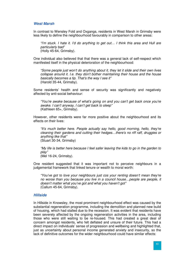#### **West Marsh**

In contrast to Wensley Fold and Oxgangs, residents in West Marsh in Grimsby were less likely to define the neighbourhood favourably in comparison to other areas:

"I'm stuck. I hate it. I'd do anything to get out… I think this area and Hull are particularly bad" (Holly 45-64, Grimsby).

One individual also believed that that there was a general lack of self-respect which manifested itself in the physical deterioration of the neighbourhood:

"Some people just won't do anything about it, they let it slide and their own lives collapse around it. I.e. they don't bother maintaining their house and the house basically becomes a tip. That's the way I see it" (Harold 35-44, Grimsby).

Some residents' health and sense of security was significantly and negatively affected by anti-social behaviour:

"You're awake because of what's going on and you can't get back once you're awake. I can't anyway, I can't get back to sleep" (Kathleen 65+, Grimsby).

However, other residents were far more positive about the neighbourhood and its effects on their lives:

"It's much better here. People actually say hello, good morning, hello, they're cleaning their gardens and cutting their hedges…there's no riff raff, druggies or anything like that" (Stuart 30-34, Grimsby)

"My life is better here because I feel safer leaving the kids to go in the garden to play"

(Mel 16-24, Grimsby).

One resident suggested that it was important not to perceive neighbours in a judgemental framework that linked tenure or wealth to moral worth:

"You've got to love your neighbours just cos your renting doesn't mean they're no worse than you because you live in a council house…people are people, it doesn't matter what you've got and what you haven't got" (Callum 45-64, Grimsby).

#### **Hillside**

In Hillside in Knowsley, the most prominent neighbourhood effect was caused by the substantial regeneration programme, including the demolition and planned new build of housing, which had stalled due to the recession. It was evident that residents have been severely affected by the ongoing regeneration activities in the area, including those who were still waiting to be re-housed. This had created a great deal of concern amongst residents, who felt deflated and unsure of their future. This had a direct impact on individuals' sense of progression and wellbeing and highlighted that, just as uncertainty about personal income generated anxiety and insecurity, so the lack of definitive outcomes for the wider neighbourhood could have similar effects: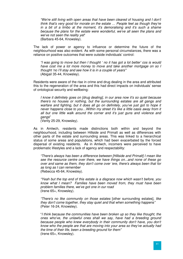"We're still living with open areas that have been cleared of housing and I don't think that's very good for morale on the estate … People feel as though they're in a bit of a limbo at the moment, it's demoralising and it's such a shame because the plans for the estate were wonderful, we've all seen the plans and we've not seen the reality yet" (Barbara 45-64, Knowsley).

The lack of power or agency to influence or determine the future of the neighbourhood was also evident. As with some personal circumstances, there was a reliance on positive outcomes that were outside individuals' control:

"I was going to move but then I thought ' no it has got a lot better' cos is would have cost me a lot more money to move and take another mortgage on so I thought 'no I'll stay and see how it is in a couple of years'" (Abigail 35-44, Knowsley).

Residents were aware of the rise in crime and drug dealing in the area and attributed this to the regeneration of the area and this had direct impacts on individuals' sense of ontological security and wellbeing:

I know it definitely goes on [drug dealing], in our area now it's so quiet because there's no houses or nothing, but the surrounding estates are all gangs and warfare and fighting, but it does all go on definitely, you've just got to hope it never happens close to you…Within my street it's like a little oasis away from it all but one little walk around the corner and it's just guns and violence and gangs"

(Verity 25-29, Knowsley).

As in Amlwch, residents made distinctions both within and beyond the neighbourhood, including between Hillside and Primalt as well as differences with other parts of the estate and surrounding areas. This was linked to a hierarchical status of some areas and populations, which had been exacerbated by the forced dispersal of existing residents. As in Amlwch, incomers were perceived to have problematic lifestyles and a lack of agency and respectability:

"There's always has been a difference between [Hillside and Primalt] I mean like see the resource centre over there, we have things on...and none of these go over and same as them, they don't come over 'ere, there's always been that for as long as I can remember (Rebecca 45-64, Knowsley).

"Yeah but the top end of this estate is a disgrace now which wasn't before, you know what I mean? Families have been moved from, they must have been problem families there, we've got one in our road (Irene 65+, Knowsley).

"There's no like community on those estates [other surrounding estates], like they don't come together, they stay quiet and that when something happens" (Peter 16-24, Knowsley).

"I think because the communities have been broken up so they like thought, the ones who've, the unlawful ones shall we say, have had a breeding ground because people who knew everybody in their community don't have, you don't know who the people are that are moving into your area so they've actually had the time of their life, been a breeding ground for them" (Irene 65+, Knowsley).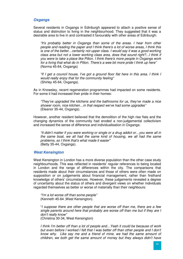#### **Oxgangs**

Several residents in Oxgangs in Edinburgh appeared to attach a positive sense of status and distinction to living in the neighbourhood. They suggested that it was a desirable area to live in and contrasted it favourably with other areas of Edinburgh:

"It's probably better in Oxgangs than some of the areas. I hear from other people and reading the paper and I think there's a lot of worse areas, I think this is one of the better…certainly not upper class. I would say it was a good working class area but not a lower working class area, does that sound right?...I think if you were to take a place like Pilton. I think there's more people in Oxgangs work for a living that what do in Pilton. There's a wee bit more pride I think up here" (Norma 45-64, Oxgangs)

"If I get a council house, I've got a ground floor flat here in this area. I think I would really enjoy that for the community feeling" (Shirley 45-64, Oxgangs).

As in Knowsley, recent regeneration programmes had impacted on some residents. For some it had increased their pride in their homes:

"They've upgraded the kitchens and the bathrooms for us, they've made a nice shower room, nice kitchen…in that respect we've had some upgrades" (Eleanor 35-44, Oxgangs).

However, another resident believed that the demolition of the high rise flats and the changing dynamics of the community had eroded a non-judgemental collectivism and increased the sense of difference and individualisation in Oxgangs:

"It didn't matter if you were working or single or a drug addict or…you were all in the same boat, we all had the same kind of housing, we all had the same problems, so I think that's what made it easier" (Betty 35-44, Oxgangs).

#### **West Kensington**

West Kensington in London has a more diverse population than the other case study neighbourhoods. This was reflected in residents' regular references to being located in London and the range of differences within the city. The comparisons that residents made about their circumstances and those of others were often made on supposition or on judgements about financial management, rather than firsthand knowledge of others' circumstances. However, these judgements revealed a degree of uncertainty about the status of others and divergent views on whether individuals regarded themselves as better or worse of materially than their neighbours:

"I'm a lot worse off than some people" (Kenneth 45-64 ,West Kensington).

"I suppose there are other people that are worse off than me, there are a few single parents around here that probably are worse off than me but if they are I don't really know" (Christina 30-34, West Kensington)

I think I'm better off than a lot of people and…Yeah it could be because of work but even before I worked I felt that I was better off than other people and I don't know why. Like say me and a friend of mine, we had the same amount of children, we both get the same amount of money but they always didn't have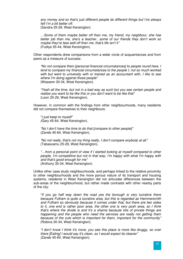any money and so that's just different people do different things but I've always felt I'm a bit better off. (Sandra 25-29, West Kensington)

…Some of them maybe better off than me, my friend, my neighbour, she has better job than me, she's a teacher…some of our friends they don't work so maybe they're less well off than me, that's life isn't it" (Fudiya 35-44, West Kensington).

Other respondents drew comparisons from a wider circle of acquaintances and from peers as a measure of success:

"No not compare them [personal financial circumstances] to people round here, I tend to compare my financial circumstances to the people I, not so much worked with but went to university with or trained as an accountant with. I like to see where I'm doing against those people" (Waseem 30-34, West Kensington).

"Yeah all the time, but not in a bad way as such but you see certain people and realise you want to be like this or you don't want to be like that" (Leon 25-29, West Kensington).

However, in common with the findings from other neighbourhoods, many residents did not compare themselves to their neighbours:

"I just keep to myself" (Gary 45-64, West Kensington).

"No I don't have the time to do that [compare to other people]" (Zaneb 45-64, West Kensington).

"No not really, that's not my thing really, I don't compare anybody at all." (Tabasxamu 25-29, West Kensington).

"…from a personal point of view if I started looking at myself compared to other people, I'm competitive but not in that way, I'm happy with what I'm happy with and that's good enough for me" (Anthony 30-34, West Kensington).

Unlike other case study neighbourhoods, and perhaps linked to the relative proximity to other neighbourhoods and the more porous nature of its transport and housing systems, residents in West Kensington did not articulate differences between the sub-areas of the neighbourhood, but rather made contrasts with other nearby parts of the city:

"If you go half way down the road yes the borough is very lucrative there because Fulham is quite a lucrative area, but this is regarded as Hammersmith and Fulham so obviously because it comes under that, but there are two sides to it, one end is rather poor area, the other one is very posh area, so I think that's where the divide is and it's a shame because lots of private things are happening and the people who need the services are really not getting them because of the cuts which is important for them, important for the community" (Robina 30-34, West Kensington).

"I don't know I think it's more, you see this place is more like druggy, so over there [Ealing] I would say it's clean, so I would expect its cleaner" (Zaneb 45-64, West Kensington).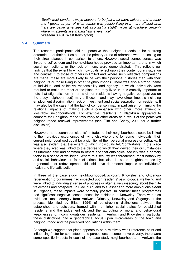"South west London always appears to be just a bit more affluent and greener and I guess as part of what comes with people living in a more affluent area there are better amenities but also just a slightly nicer atmosphere certainly where my parents live in Earlsfield is very nice" (Waseem 30-34, West Kensington).

#### **5.4 Summary**

The research participants did not perceive their neighbourhoods to be a strong determinant of their self-esteem or the primary arena of reference when reflecting on their circumstances in comparison to others. However, social connectedness was linked to self-esteem and the neighbourhoods provided an important arena in which social connections, or the lack of them, were demonstrated. This reflects our findings that the extent to which individuals reflect upon their contemporary situation and contrast it to those of others is limited and, where such reflective comparisons are made, these are more likely to be with their personal histories than with their neighbours or those living in other neighbourhoods. There was also a strong theme of individual and collective responsibility and agency, in which individuals were required to make the most of the place that they lived in. It is crucially important to note that stigmatisation (in terms of non-residents having negative perspectives on the study neighbourhood) may still occur, and may have direct impacts including employment discrimination, lack of investment and social separation, on residents. It may also be the case that the lack of comparison may in part arise from limiting the relational impacts of making such a comparison with other, more affluent or 'desirable' neighbourhoods. For example, residents in Blackburn appeared to compare their neighbourhood favourably to other areas as a result of the perceived neighbourhood renewal improvements (see Flint and Casey, 2008 for a further discussion).

However, the research participants' attitudes to their neighbourhoods could be linked to their previous experiences of living elsewhere and for some individuals, their current neighbourhood could be a signifier of their personal progress or setbacks. It was also evident that the extent to which individuals felt 'comfortable' in the place where they lived was linked to the degree to which they viewed their circumstances as unremarkable and common to others and that ontological security was a primary factor in a sense of wellbeing. Where this security was threatened, most notably by anti-social behaviour or fear of crime, but also in some neighbourhoods by regeneration or redevelopment, this did have detrimental impacts on individuals' health and life satisfaction.

In three of the case study neighbourhoods-Blackburn, Knowsley and Oxgangsregeneration programmes had impacted upon residents' psychological wellbeing and were linked to individuals' sense of progress or alternatively insecurity about their life trajectories and prospects. In Blackburn, and to a lesser and more ambiguous extent in Oxgangs, these impacts were primarily positive. In contrast these programmes had significant negative consequences for residents in Knowsley. There was also evidence- most strongly from Amlwch, Grimsby, Knowsley and Oxgangs of the process identified by Elias (1994) of constructing distinctions between the established and outsiders, framed within a higher social status for established residents and the judgement of, and the attributing of moral and behavioural weaknesses to, incoming/outsider residents. In Amlwch and Knowsley in particular these distinctions had a geographical focus upon micro-areas of the town and neighbourhood and the perceived populations within them.

Although we suggest that place appears to be a relatively weak reference point and influencing factor for self-esteem and perceptions of comparative poverty, there were some specific impacts in each of the case study neighbourhoods. In Amlwch, the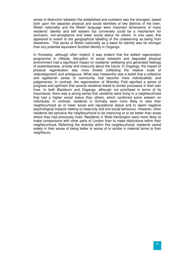sense of distinction between the established and outsiders was the strongest, based both upon the separate physical and social identities of two districts of the town. Welsh nationality and the Welsh language were important dimensions of many residents' identity and self esteem but conversely could be a mechanism for exclusion, non-acceptance and lower social status for others. In one case, this appeared to extent to the geographical labelling of the undeserving as being from elsewhere. This sense of Welsh nationality as a basis for identity was far stronger than any potential equivalent Scottish identity in Oxgangs.

In Knowsley, although often implicit, it was evident that the stalled regeneration programme in Hillside, disruption of social networks and degraded physical environment had a significant impact on residents' wellbeing and generated feelings of powerlessness, anxiety and insecurity about the future. In Oxgangs, the impact of physical regeneration was more limited (reflecting the relative scale of redevelopment) and ambiguous. What was noteworthy was a belief that a collective and egalitarian sense of community had become more individualistic and judgemental. In contrast, the regeneration of Wensley Fold signified a sense of progress and optimism that several residents linked to similar processes in their own lives. In both Blackburn and Oxgangs, although not prioritised in terms of its importance, there was a strong sense that residents were living in a neighbourhood that had a higher social status than others, which conferred some esteem on individuals. In contrast, residents in Grimsby were more likely to view their neighbourhood as of lower social and reputational status and to report negative psychological impacts relating to insecurity and anti-social behaviour. However, other residents did perceive the neighbourhood to be improving or to be better than areas where they had previously lived. Residents in West Kensington were more likely to make comparisons with other parts of London than to make distinctions within their neighbourhood. Reflecting the diversity within this neighbourhood, residents varied widely in their sense of being better or worse of or similar in material terms to their neighbours.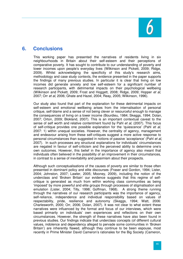

### **6. Conclusions**

This working paper has presented the narratives of residents living in six neighbourhoods in Britain about their self-esteem and their perceptions of comparative poverty. It has sought to contribute to our understanding of poverty and lower incomes upon people's everyday lives (Wilkinson and Pickett, 2009; Ridge, 2009). Whilst acknowledging the specificity of this study's research aims, methodology and case study contexts, the evidence presented in the paper supports the findings of many previous studies. In particular it is clear that living on low incomes did generate anxiety and low self-esteem for a significant number of research participants, with detrimental impacts on their psychological wellbeing (Wilkinson and Pickett, 2009; Frost and Hoggett, 2008; Ridge, 2009; Hopper et al, 2007; Orr et al, 2006; Ghate and Hazel, 2004; Reay, 2005; Wilkinson, 1996).

Our study also found that part of the explanation for these detrimental impacts on self-esteem and emotional wellbeing arises from the internalisation of personal critique, self-blame and a sense of not being clever or resourceful enough to manage the consequences of living on a lower income (Bourdieu, 1984; Skeggs, 1994; Dolan, 2007; Orton, 2009; Blokland, 2007). This is an important contextual caveat to the sense of self worth and relative contentment found by Pahl et al. (2007). This focus of self-critique provides one possible explanation for the 'quiescence' (Pahl et al, 2007: 1) within unequal societies. However, the centrality of agency, management and endeavour arising from these self-critiques suggest a more active response to personal circumstances than suggested in notions of passive 'acceptance' (Pahl et al, 2007). In such processes any structural explanations for individuals' circumstances are negated in favour of self-criticism and the perceived ability to determine one's own outcomes. However, this belief in the importance of agency also meant that individuals often believed in the possibility of an improvement in their circumstances, in contrast to a sense of inevitability and pessimism about their prospects.

Although such conceptualisations of the causes of poverty are similar to those often presented in dominant policy and elite discourses (Fraser and Gordon, 1994; Lister, 2004; Johnston, 2007; Lawler, 2005; Mooney, 2009), including the notion of the underclass and 'Broken Britain' our evidence suggests that this regime of selfcritique is generated as much from within working class communities as being 'imposed' by more powerful and elite groups through processes of stigmatisation and emulation (Lister, 2004; Tilly, 1998; Goffman, 1968). A strong theme running through the narratives of our research participants was the importance of agency, self-reliance, independence and individual responsibility based on values of respectability, pride, resilience and autonomy (Skeggs, 1994; Watt, 2006: Charlesworth, 2000; Orr, 2006; Dolan, 2007). It was not clear to what extent these narratives were influenced by the format and focus of our interviews, which were based primarily on individuals' own experiences and reflections on their own circumstances. However, the strength of these narratives have also been found in previous studies. Our findings indicate that underclass concepts (of different cultural values, indolence and dependency alleged to pervade some communities in 'Broken Britain') are inherently flawed, although they continue to be been espouse, most recently in Prime Minister David Cameron's rationales for the Big Society (Cameron,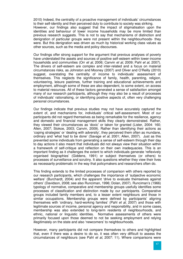2010) Indeed, the centrality of a proactive management of individuals' circumstances to their self-identity and their perceived duty to contribute to society was striking. However, our findings also suggest that the impact of stigmatisation upon the identities and behaviour of lower income households may be more limited than previous research suggests. This is not to say that mechanisms of distinction and denigration of particular groups were not present within the neighbourhoods- they were. But this denigration was driven as much by historical working class values as other sources, such as the media and policy discourses.

Our findings offer strong support for the argument that previous analyses of poverty have understated the assets and sources of positive self-esteem within lower-income households and communities (Orr et al. 2006; Canvin et al. 2009; Pahl et al. 2007). The drivers of self-esteem are complex and inter-related and a focus on material circumstances risks, as Johnston and Mooney (2007) and Oliver and O'Reilly (2010) suggest, overstating the centrality of income to individuals' assessment of themselves. This neglects the significance of family, health, parenting, religion, volunteering, leisure pastimes, further training and educational achievements and employment, although some of these are also dependent, to some extent, on access to material resources. All of these factors generated a sense of satisfaction amongst many of our research participants, although they may also be a result of processes of individuals' rationalising, or identifying positive aspects of, often very challenging personal circumstances.

Our findings indicate that previous studies may not have accurately captured the extent of, and mechanisms for, individuals' critical self-assessment. Most of our participants did not regard themselves as being remarkable for the resilience, agency and domestic and financial management skills they clearly demonstrated. Rather, they viewed their circumstances as 'doxic' or taken for granted (Lister, 2004: 160; Allen, 2007; Stokoe, 2003; Canvin, 2009). Rather than identifying their actions as 'coping strategies' or 'dealing with adversity', they perceived them often as mundane, ordinary and 'what had to be done' (Savage et al, 2001; Allen, 2007). Just as this prevented some individuals from generating a sense of self-esteem through their day to day actions it also meant that individuals did not always view their situation within a framework of self-critique and reflection on their own inadequacies. This is an important finding as it challenges the extent to which individuals generate 'reflexively organised biographies' (Giddens, 1991) or subject themselves (or others) to processes of surveillance and scrutiny. It also questions whether they view their lives as necessarily problematic in the way that policymakers and researchers often do.

This finding extends to the limited processes of comparison with others reported by our research participants, which challenges the importance of 'subjective economic welfare' (Burchardt, 2004) and the apparent 'drive to evaluate themselves against others' (Davidson, 2008; see also Runciman, 1996; Dolan, 2007). Runciman's (1966) typology of normative, comparative and membership groups usefully identifies some processes of classification and distinction made by our participants. Comparative groups included family members and, to a lesser extent neighbours and those in similar occupations. Membership groups were defined by participants' aligning themselves with 'ordinary, hard-working families' (Pahl et al, 2007) and those with legitimate sources of income, personal agency and responsibility, and in some cases, membership was also extended to long-term residents of neighbourhoods, and ethnic, national or linguistic identities. Normative assessments of others were primarily focused upon those deemed to not be seeking employment and relying illegitimately on the state and also 'newcomers' to neighbourhoods.

However, many participants did not compare themselves to others and highlighted that, even if there was a desire to do so, it was often very difficult to assess the circumstances of neighbours (see Pahl et al, 2007: 11). Where comparisons were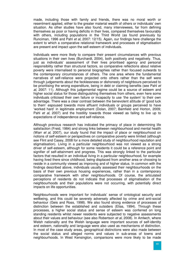made, including those with family and friends, there was no moral worth or resentment applied, either to the greater material wealth of others or individuals' own situation. As other studies have also found, many interviewees, far from defining themselves as poor or having deficits in their lives, compared themselves favourably with others, including populations in the Third World (as found previously by Runciman, 1996 and Pahl et al, 2007: 12/15). Again, our findings here challenge the extent to which a comparative relational framework and processes of stigmatisation are present and impact upon the self-esteem of individuals.

Individuals were more likely to compare their present circumstances with previous situations in their own lives (Burchardt, 2004), both positively and negatively. Thus, just as individuals' assessment of their lives prioritised agency and personal responsibility rather than structural factors, so comparative reflections about relative poverty were internalised to personal biographies rather than focused outwards to the contemporary circumstances of others. The one area where the fundamental narratives of self-reliance were projected onto others rather than the self were through judgements about the fecklessness or dishonesty of neighbours perceived to be prioritising the wrong expenditure, being in debt or claiming benefits (see Pahl et al, 2007: 11). Although this judgemental regime could be a source of esteem and higher social status for those distinguishing themselves from others, even here some individuals criticised their own failure or incapacity to use 'the system' to their own advantage. There was a clear contrast between the benevolent attitude of 'good luck to them' espoused towards more affluent individuals or groups perceived to have 'worked hard' in legitimate employment (Dolan, 2007; Bamfield and Horton, 2009; Pahl *et al*, 2007) and the hostility towards those viewed as failing to live up to expectations of independence and self-reliance.

Although previous research has indicated the primacy of place in determining life satisfaction (Freid, 1984) and strong links between neighbourhood and mental health (Warr et al, 2007), our study found that the impact of place or neighbourhood on notions of self-esteem or perspectives on comparative poverty were limited (although see Flint and Casey, 2008 for a more detailed study of neighbourhood reputation and stigmatisation). Living in a particular neighbourhood was not viewed as a strong driver of self-esteem, although for some residents it could be a reference point and signifier of self-attainment and progress. This was strongly linked to the particular factors that resulted in an individual living in a particular neighbourhood, for example having lived there since childhood, being displaced from another area or choosing to reside in a community viewed as improving and of higher status. In common with the findings described above, individuals usually assessed their neighbourhoods on the basis of their own previous housing experiences, rather than in a contemporary comparative framework with other neighbourhoods. Of course, the articulated perceptions of residents do not indicate that processes of stigmatisation of the neighbourhoods and their populations were not occurring, with potentially direct impacts on life opportunities.

Neighbourhoods were important for individuals' sense of ontological security and wellbeing, and this could be severely adversely affected by crime and anti-social behaviour (Geis and Ross, 1998). We also found strong evidence of processes of distinction between the established and outsiders (Elias, 1994). Through these processes, a higher social status and sense of esteem was conferred on long standing residents whilst newer residents were subjected to negative assessments about their values and behaviour (see also Robertson et al, 2008). In Amlwch, where Welsh nationality and the Welsh language were important sources of self-identity and esteem, nationality and language were also used as mechanisms of distinction. In most of the case study areas, geographical distinctions were also made between the social status and alleged norms and values in sub-areas of towns and neighbourhoods. In West Kensington, comparisons were more likely to be made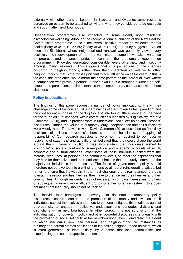externally with other parts of London. In Blackburn and Oxgangs some residents perceived an esteem to be attached to living in what they considered to be desirable and sought after neighbourhoods.

Regeneration programmes also impacted, to some extent, upon residents' psychological wellbeing. Although the recent national evaluation of the New Deal for Communities programme found a net overall positive impact on residents' mental health (Batty et al, 2010: 57-59; Beatty et al, 2010: 64) our study suggests a varied effect. In Blackburn, where neighbourhood renewal was generally viewed very positively, the redevelopment of the area was linked to some individuals' own sense of progress and enhanced pride. In contrast, the problematic regeneration programme in Knowsley generated considerable levels of anxiety and insecurity amongst many residents. This suggests that it is perceptions of the changes occurring in neighbourhoods, rather than their characteristics relative to other neighbourhoods, that is the most significant 'place' influence on self-esteem. If this is the case, this area effect would mirror the same pattern as the individual level, where a comparison with previous periods in one's own life is a stronger influence on selfesteem and perceptions of circumstances than contemporary comparison with others' situations.

#### **Policy Implications**

The findings of this paper suggest a number of policy implications. Firstly, they challenge some of the conceptual underpinnings of the 'Broken Britain' paradigm and the consequent emphasis on the 'Big Society'. We found little evidence for the need for the 'huge cultural changes' within communities suggested by 'Big Society 'rhetoric (Cameron, 2010), and its predecessors in underclass, social exclusion and 'Respect' discourses. Rather, the values of autonomy, duty, independence and self-sufficiency were widely held. Thus, within what David Cameron (2010) describes as 'the daily decisions of millions of people', there is not, as he claims, a 'sapping of responsibility.' Our research participants were not, nor desired to be, 'passive recipients of state help' and actually often believed that 'they could shape the world around them' (Cameron, 2010). It was also evident that individuals wished to 'contribute' to society, contrary to some political and academic accounts of social, economic and cultural changes. What some of these individuals lacked were the material resources, at personal and community levels, to meet the aspirations that they held for themselves and their families; aspirations that are surely common to the majority of individuals in our society. The focus of governmental policy should therefore not be diverted into a civilising offensive aimed at reinvigorating values, but rather to ensure that individuals, in the most challenging of circumstances, are able to enact the responsibilities they feel they have to themselves, their families and their communities. Although residents may not necessarily compare themselves to others or subsequently resent more affluent groups or suffer lower self-esteem, this does not mean that inequality should not be tackled.

The individualistic paradigms of poverty that dominate contemporary policy discourses also run counter to the promotion of community and civic action. If individuals subject themselves and others to personal critiques, this mediates against a propensity to engage in collective endeavour and generates divisions and distinctions within neighbourhoods. In other words, it is not surprising that the individualisation of poverty in policy and other powerful discourses sits uneasily with the promotion of social solidarity at the neighbourhood level. Conversely, the extent to which individuals view their personal and neighbourhood circumstances as ordinary and normal creates challenges to increasing neighbourhood activism, which is often generated, at least initially, by a sense that local communities are experiencing particular or specific problems.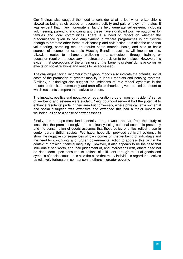Our findings also suggest the need to consider what is lost when citizenship is viewed as being solely based on economic activity and paid employment status. It was evident that many non-material factors help generate self-esteem, including volunteering, parenting and caring and these have significant positive outcomes for families and local communities. There is a need to reflect on whether the predominance given to paid employment in welfare programmes is not flexible enough to promote other forms of citizenship and civic action. It is also the case that volunteering, parenting etc. do require some material basis, and cuts to basic sources of income, for example Housing Benefit reductions, will impact on this. Likewise, routes to enhanced wellbeing and self-esteem through training or education require the necessary infrastructure provision to be in place. However, it is evident that perceptions of the unfairness of the 'benefits system' do have corrosive effects on social relations and needs to be addressed.

The challenges facing 'incomers' to neighbourhoods also indicate the potential social costs of the promotion of greater mobility in labour markets and housing systems. Similarly, our findings also suggest the limitations of 'role model' dynamics in the rationales of mixed community and area effects theories, given the limited extent to which residents compare themselves to others.

The impacts, positive and negative, of regeneration programmes on residents' sense of wellbeing and esteem were evident. Neighbourhood renewal had the potential to enhance residents' pride in their area but conversely, where physical, environmental and social disruption was extensive and extended this had a major impact on wellbeing, allied to a sense of powerlessness.

Finally, and perhaps most fundamentally of all, it would appear, from this study at least, that the prominence given to continually rising personal economic prosperity and the consumption of goods assumes that these policy priorities reflect those in contemporary British society. We have, hopefully, provided sufficient evidence to show the negative consequences of low incomes on the wellbeing of individuals and the need for continuing, and further, governmental action to address this, within the context of growing financial inequality. However, it also appears to be the case that individuals' self-worth, and their judgement of, and interactions with, others need not be dependent upon consumerist notions of fulfilment through material goods and symbols of social status. It is also the case that many individuals regard themselves as relatively fortunate in comparison to others in greater poverty.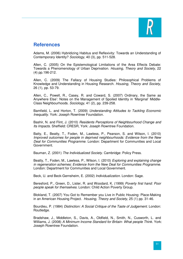

### **References**

Adams, M. (2006) Hybridizing Habitus and Reflexivity: Towards an Understanding of Contemporary Identity? Sociology, 40 (3), pp. 511-528.

Allen, C. (2005) On the Epistemological Limitations of the Area Effects Debate: Towards a Phenomenology of Urban Deprivation. Housing, Theory and Society, 22 (4) pp.196-212.

Allen, C. (2009) The Fallacy of Housing Studies: Philosophical Problems of Knowledge and Understanding in Housing Research. Housing, Theory and Society, 26 (1), pp. 53-79.

Allen, C., Powell, R., Casey, R. and Coward, S. (2007) Ordinary, the Same as Anywhere Else': Notes on the Management of Spoiled Identity in 'Marginal' Middle-Class Neighbourhoods. Sociology, 41 (2), pp. 239-258.

Bamfield, L. and Horton, T. (2009) Understanding Attitudes to Tackling Economic Inequality. York: Joseph Rowntree Foundation.

Bashir, N. and Flint, J. (2010) Residents Perceptions of Neighbourhood Change and Its Impacts. Sheffield: CRESR, York: Joseph Rowntree Foundation.

Batty, E., Beatty, T., Foden, M., Lawless, P., Pearson, S. and Wilson, I. (2010) Improved outcomes for people in deprived neighbourhoods: Evidence from the New Deal for Communities Programme. London: Department for Communities and Local Government.

Bauman, Z. (2001) The Individualized Society. Cambridge: Policy Press.

Beatty, T., Foden, M., Lawless, P., Wilson, I. (2010) Exploring and explaining change in regeneration schemes: Evidence from the New Deal for Communities Programme. London: Department for Communities and Local Government.

Beck, U. and Beck-Gernsheim, E. (2002) Individualization. London: Sage.

Beresford, P., Green, D., Lister, R. and Woodard, K. (1999) Poverty first hand: Poor people speak for themselves. London: Child Action Poverty Group.

Blokland, T. (2007) You Got to Remember you Live in Public Housing: Place-Making in an American Housing Project. Housing, Theory and Society, 25 (1) pp. 31-46.

Bourdieu, P. (1984) Distinction: A Social Critique of the Taste of Judgement. London: Routledge.

Bradshaw, J., Middleton, S., Davis, A., Oldfield, N., Smith, N., Cusworth, L. and Williams, J. (2008) A Minimum Income Standard for Britain- What people Think. York: Joseph Rowntree Foundation.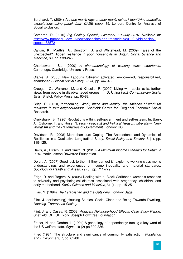Burchardt, T. (2004) Are one man's rags another man's riches? Identifying adapative expectations using panel data- CASE paper 86. London: Centre for Analysis of Social Exclusion.

Cameron, D. (2010) Big Society Speech, Liverpool, 19 July 2010. Available at: http://www.number10.gov.uk/news/speeches-and-transcripts/2010/07/big-societyspeech-53572

Canvin, K., Marttila, A., Burstrom, B. and Whitehead, M. (2009) Tales of the unexpected? Hidden resilience in poor households in Britain, Social Science and Medicine, 69, pp. 238-245.

Charlesworth, S.J. (2000) A phenomenology of working class experience. Cambridge: Cambridge University Press.

Clarke, J. (2005) New Labour's Citizens: activated, empowered, responsibilized, abandoned? Critical Social Policy, 25 (4) pp. 447-463.

Creegan, C., Warrener, M. and Kinsella, R. (2009) Living with social evils: further views from people in disadvantaged groups, In: D. Utting (ed.) Contemporary Social Evils. Bristol: Policy Press, pp. 65-82.

Crisp, R. (2010, forthcoming) Work, place and identity: the salience of work for residents in four neighbourhoods. Sheffield: Centre for Regional Economic Social Research.

Cruikshank, B. (1996) Revolutions within: self-government and self-esteem, In: Barry, A., Osborne, T. and Rose, N. (eds.) Foucault and Political Reason: Liberalism, Neoliberalism and the Rationalities of Government. London: UCL.

Davidson, R. (2008) More than Just Coping: The Antecedents and Dynamics of Resilience in a Qualitative Longitudinal Study. Social Policy and Society, 8 (1), pp. 115-125.

Davis, A., Hirsch, D. and Smith, N. (2010) A Minimum Income Standard for Britain in 2010. York: Joseph Rowntree Foundation.

Dolan, A. (2007) Good luck to them if they can get it': exploring working class men's understandings and experiences of income inequality and material standards. Sociology of Health and Illness, 29 (5), pp. 711-729.

Edge, D. and Rogers, A. (2005) Dealing with it: Black Caribbean women's response to adversity and psychological distress associated with pregnancy, childbirth, and early motherhood. Social Science and Medicine, 61 (1), pp. 15-25.

Elias, N. (1994) The Established and the Outsiders. London: Sage.

Flint, J. (forthcoming) Housing Studies, Social Class and Being Towards Dwelling, Housing, Theory and Society.

Flint, J. and Casey, R. (2008) Adjacent Neighbourhood Effects: Case Study Report. Sheffield: CRESR, York: Joseph Rowntree Foundation.

Fraser, N. and Gordon, L. (1994) A genealogy of dependency: tracing a key word of the US welfare state. Signs, 19 (2) pp.309-336.

Fried (1984) The structure and significance of community satisfaction. Population and Environment, 7, pp. 61-86.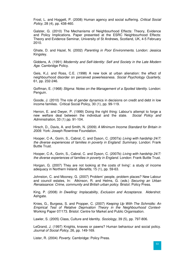Frost, L. and Hoggett, P. (2008) Human agency and social suffering. Critical Social Policy, 28 (4), pp. 438-460.

Galster, G. (2010) The Mechanisms of Neighbourhood Effects: Theory, Evidence and Policy Implications. Paper presented at the ESRC Neighbourhood Effects: Theory and Evidence Seminar, University of St Andrews, Scotland, UK, 4-5 February 2010.

Ghate, D. and Hazel, N. (2002) Parenting in Poor Environments. London: Jessica Kingsley.

Giddens, A. (1991) Modernity and Self-Identity: Self and Society in the Late Modern Age. Cambridge Policy.

Geis, K.J. and Ross, C.E. (1998) A new look at urban alienation: the effect of neighbourhood disorder on perceived powerlessness. Social Psychology Quarterly, 61, pp. 232-246.

Goffman, E. (1968) Stigma: Notes on the Management of a Spoiled Identity. London: Penguin.

Goode, J. (2010) The role of gender dynamics in decisions on credit and debt in low income families. Critical Social Policy, 30 (1), pp. 99-119.

Herron, E. and Dwyer, P. (1999) Doing the right thing: Labour's attempt to forge a new welfare deal between the individual and the state. Social Policy and Administration, 33 (1) pp. 91-104.

Hirsch, D., Davis, A. and Smith, N. (2009) A Minimum Income Standard for Britain in 2009. York: Joseph Rowntree Foundation.

Hooper, C-A., Gorin, S., Cabral, C. and Dyson, C. (2007a) Living with hardship 24/7: the diverse experiences of families in poverty in England: Summary. London: Frank Buttle Trust.

Hooper, C-A., Gorin, S., Cabral, C. and Dyson, C. (2007b) Living with hardship 24/7: the diverse experiences of families in poverty in England. London: Frank Buttle Trust.

Horgan, G. (2007) They are not looking at the costs of living': a study of income adequacy in Northern Ireland. Benefits, 15 (1), pp. 59-63.

Johnston, C. and Mooney, G. (2007) Problem' people, problem places? New Labour and council estates, In: Atkinson, R. and Helms, G. (eds.) Securing an Urban Renaissance: Crime, community and British urban policy. Bristol: Policy Press.

King, P. (2008) In Dwelling: Implacability, Exclusion and Acceptance. Aldershot: Ashgate.

Knies, G., Burgess, S. and Propper, C. (2007) Keeping Up With The Schmidts: An Empirical Test of Relative Deprivation Theory in the Neighbourhood Context-Working Paper 07/173. Bristol: Centre for Market and Public Organisation.

Lawler, S. (2005) Class, Culture and Identity. Sociology, 39 (5), pp. 797-806.

LeGrand, J. (1997) Knights, knaves or pawns? Human behaviour and social policy. Journal of Social Policy, 26, pp. 149-169.

Lister, R. (2004) Poverty. Cambridge: Policy Press.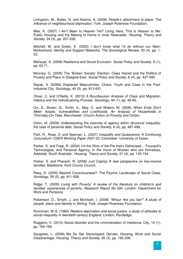Livingston, M., Bailey, N. and Kearns, A. (2008) People's attachment to place: The influence of neighbourhood deprivation. York: Joseph Rowntree Foundation.

Mee, K. (2007) I Ain't Been to Heaven Yet? Living Here, This is Heaven to Me: Public Housing and the Making of Home in Inner Newcastle. Housing, Theory and Society, 24 (3), pp. 207-228.

Mitchell, W. and Green, E. (2002) I don't know what I'd do without our Mam: Motherhood, Identity and Support Networks. The Sociological Review, 50 (4), pp. 1- 22.

Mohaupt, S. (2008) Resilience and Social Exclusion. Social Policy and Society, 8 (1), pp. 63-71.

Mooney, G. (2009) The 'Broken Society' Election: Class Hatred and the Politics of Poverty and Place in Glasgow East. Social Policy and Society, 8 (4), pp. 437-450.

Nayak, A. 92006) Displaced Masculinities: Chavs, Youth and Class in the Postindustrial City. Sociology, 40 (5), pp. 813-831.

Oliver, C. and O'Reilly, K. (2010) A Bourdieusian Analysis of Class and Migration: Habitus and the Individualizing Process. Sociology, 44 (1), pp. 49-66.

Orr, S., Brown, G., Smith, S., May, C. and Waters, M. (2006) When Ends Don't Meet- Assets, Vulnerabilities and Livelihoods: An Analysis of Households in Thornaby-On-Tees. Manchester: Church Action on Poverty and Oxfam.

Orton, M. (2009) Understanding the exercise of agency within structural inequality: the case of personal debt. Social Policy and Society, 8 (4), pp. 487-498.

Pahl, R., Rose, D. and Spencer, L. (2007) Inequality and Quiescence: A Continuing Conundrum: OSER Working Paper 2007-22. Colchester: University of Essex.

Parker, S. and Fopp, R. (2004) I'm the Slice of the Pie that's Ostracised… Foucault's Technologies, and Personal Agency, in the Voice of Women who are Homeless, Adelaide, South Australia'. Housing, Theory and Society, 21 (4), pp. 145-154.

Parker, S. and Pharaoh, R. (2008) Just Coping: A new perspective on low-income families. Maidstone: Kent County Council.

Reay, D. (2005) Beyond Consciousness?: The Psychic Landscape of Social Class, Sociology, 39 (5), pp. 911-928.

Ridge, T. (2009) Living with Poverty: A review of the literature on children's and families' experiences of poverty- Research Report No 594. London: Department for Work and Pensions.

Robertson, D., Smyth, J. and McIntosh, I. (2008) "Whaur Are you fae?" A study of people, place and identity in Stirling. York: Joseph Rowntree Foundation.

Runciman, W.G. (1966) Relative deprivation and social justice: a study of attitudes to social inequality in twentieth-century England. London: Routledge.

Ruggerio, V. (2010) Social disorder and the criminalization of indolence, City, 14 (1), pp. 164-169.

Saugeres, L. (2009) We Do Get Stereotyped: Gender, Housing, Work and Social Disadvantage. Housing, Theory and Society, 26 (3), pp. 193-209.